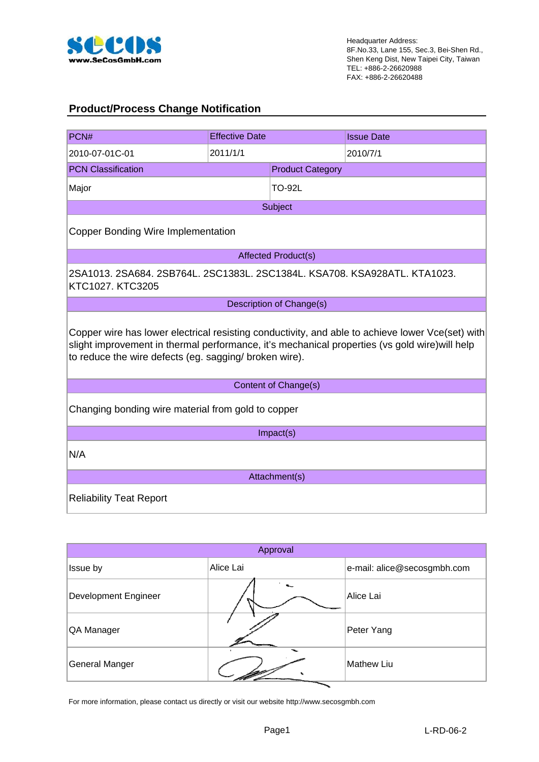

### **Product/Process Change Notification**

| PCN#                                                                                                                                                     | <b>Effective Date</b> |                             | <b>Issue Date</b>                                                                                |  |  |  |  |
|----------------------------------------------------------------------------------------------------------------------------------------------------------|-----------------------|-----------------------------|--------------------------------------------------------------------------------------------------|--|--|--|--|
| 2010-07-01C-01                                                                                                                                           | 2011/1/1              |                             | 2010/7/1                                                                                         |  |  |  |  |
| <b>PCN Classification</b>                                                                                                                                |                       | <b>Product Category</b>     |                                                                                                  |  |  |  |  |
| Major                                                                                                                                                    |                       | <b>TO-92L</b>               |                                                                                                  |  |  |  |  |
|                                                                                                                                                          |                       | Subject                     |                                                                                                  |  |  |  |  |
| <b>Copper Bonding Wire Implementation</b>                                                                                                                |                       |                             |                                                                                                  |  |  |  |  |
|                                                                                                                                                          |                       | <b>Affected Product(s)</b>  |                                                                                                  |  |  |  |  |
| 2SA1013. 2SA684. 2SB764L. 2SC1383L. 2SC1384L. KSA708. KSA928ATL. KTA1023.<br>KTC1027. KTC3205                                                            |                       |                             |                                                                                                  |  |  |  |  |
|                                                                                                                                                          |                       | Description of Change(s)    |                                                                                                  |  |  |  |  |
| slight improvement in thermal performance, it's mechanical properties (vs gold wire) will help<br>to reduce the wire defects (eg. sagging/ broken wire). |                       |                             | Copper wire has lower electrical resisting conductivity, and able to achieve lower Vce(set) with |  |  |  |  |
|                                                                                                                                                          |                       | <b>Content of Change(s)</b> |                                                                                                  |  |  |  |  |
| Changing bonding wire material from gold to copper                                                                                                       |                       |                             |                                                                                                  |  |  |  |  |
|                                                                                                                                                          |                       | Impact(s)                   |                                                                                                  |  |  |  |  |
| N/A                                                                                                                                                      |                       |                             |                                                                                                  |  |  |  |  |
|                                                                                                                                                          |                       | Attachment(s)               |                                                                                                  |  |  |  |  |
| <b>Reliability Teat Report</b>                                                                                                                           |                       |                             |                                                                                                  |  |  |  |  |

| Approval                    |           |                             |  |  |  |  |  |
|-----------------------------|-----------|-----------------------------|--|--|--|--|--|
| Issue by                    | Alice Lai | e-mail: alice@secosgmbh.com |  |  |  |  |  |
| <b>Development Engineer</b> |           | Alice Lai                   |  |  |  |  |  |
| QA Manager                  |           | Peter Yang                  |  |  |  |  |  |
| General Manger              | ∼         | <b>Mathew Liu</b>           |  |  |  |  |  |

For more information, please contact us directly or visit our website http://www.secosgmbh.com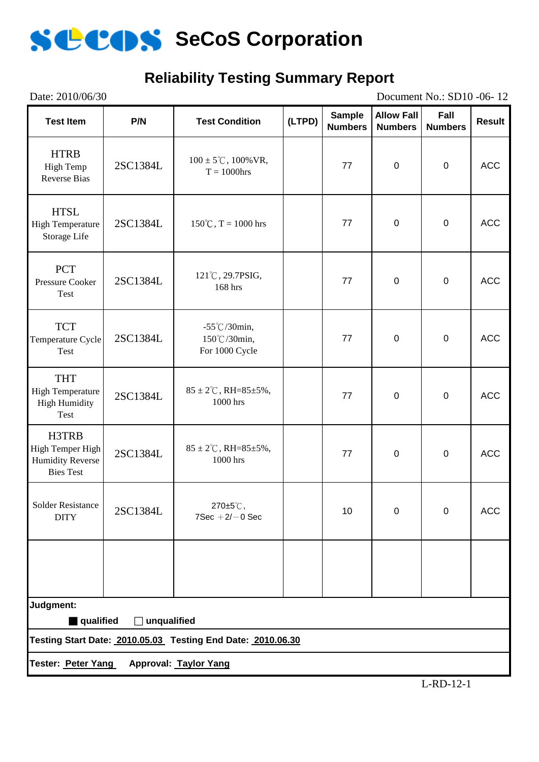

### **Reliability Testing Summary Report**

| Date: 2010/06/30                                                         |             |                                                             |        |                                 |                                     | Document No.: SD10 -06-12 |               |
|--------------------------------------------------------------------------|-------------|-------------------------------------------------------------|--------|---------------------------------|-------------------------------------|---------------------------|---------------|
| <b>Test Item</b>                                                         | P/N         | <b>Test Condition</b>                                       | (LTPD) | <b>Sample</b><br><b>Numbers</b> | <b>Allow Fall</b><br><b>Numbers</b> | Fall<br><b>Numbers</b>    | <b>Result</b> |
| <b>HTRB</b><br>High Temp<br><b>Reverse Bias</b>                          | 2SC1384L    | $100 \pm 5^{\circ}$ C, $100\%$ VR,<br>$T = 1000$ hrs        |        | 77                              | $\boldsymbol{0}$                    | $\mathbf 0$               | <b>ACC</b>    |
| <b>HTSL</b><br><b>High Temperature</b><br>Storage Life                   | 2SC1384L    | $150^{\circ}$ C, T = 1000 hrs                               |        | 77                              | $\boldsymbol{0}$                    | $\mathbf 0$               | <b>ACC</b>    |
| <b>PCT</b><br>Pressure Cooker<br>Test                                    | 2SC1384L    | 121°C, 29.7PSIG,<br>77<br>168 hrs                           |        | $\mathbf 0$                     | $\mathbf 0$                         | <b>ACC</b>                |               |
| <b>TCT</b><br>Temperature Cycle<br>Test                                  | 2SC1384L    | $-55^{\circ}$ C/30min,<br>150℃/30min,<br>For 1000 Cycle     |        |                                 | $\boldsymbol{0}$                    | $\mathbf 0$               | <b>ACC</b>    |
| <b>THT</b><br><b>High Temperature</b><br><b>High Humidity</b><br>Test    | 2SC1384L    | $85 \pm 2^{\circ}$ C, RH= $85 \pm 5\%$ ,<br>1000 hrs        |        | 77                              | $\mathbf 0$                         | $\mathbf 0$               | <b>ACC</b>    |
| H3TRB<br>High Temper High<br><b>Humidity Reverse</b><br><b>Bies Test</b> | 2SC1384L    | $85 \pm 2^{\circ}$ C, RH= $85 \pm 5\%$ ,<br>1000 hrs        |        |                                 | $\boldsymbol{0}$                    | $\mathbf 0$               | <b>ACC</b>    |
| <b>Solder Resistance</b><br><b>DITY</b>                                  | 2SC1384L    | 270±5℃,<br>$7$ Sec $+2$ / $-0$ Sec                          |        | 10                              | $\mathbf 0$                         | $\mathbf 0$               | <b>ACC</b>    |
|                                                                          |             |                                                             |        |                                 |                                     |                           |               |
| Judgment:                                                                |             |                                                             |        |                                 |                                     |                           |               |
| qualified                                                                | unqualified | Testing Start Date: 2010.05.03 Testing End Date: 2010.06.30 |        |                                 |                                     |                           |               |
|                                                                          |             |                                                             |        |                                 |                                     |                           |               |
| Tester: Peter Yang                                                       |             | <b>Approval: Taylor Yang</b>                                |        |                                 |                                     |                           |               |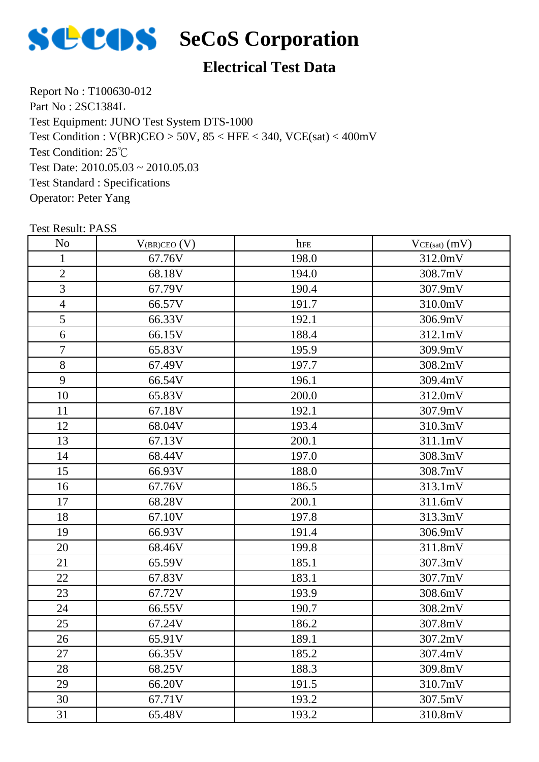

### **Electrical Test Data**

Report No : T100630-012 Part No : 2SC1384L Test Equipment: JUNO Test System DTS-1000 Test Condition: 25℃ Test Date: 2010.05.03 ~ 2010.05.03 Test Standard : Specifications Operator: Peter Yang Test Condition : V(BR)CEO > 50V, 85 < HFE < 340, VCE(sat) < 400mV

| N <sub>o</sub> | $V_{(BR)CEO} (V)$ | hFE   | $VCE(sat)$ $(mV)$ |
|----------------|-------------------|-------|-------------------|
| $\mathbf{1}$   | 67.76V            | 198.0 | 312.0mV           |
| $\overline{2}$ | 68.18V            | 194.0 | 308.7mV           |
| 3              | 67.79V            | 190.4 | 307.9mV           |
| $\overline{4}$ | 66.57V            | 191.7 | 310.0mV           |
| 5              | 66.33V            | 192.1 | 306.9mV           |
| 6              | 66.15V            | 188.4 | 312.1mV           |
| $\tau$         | 65.83V            | 195.9 | 309.9mV           |
| 8              | 67.49V            | 197.7 | 308.2mV           |
| 9              | 66.54V            | 196.1 | 309.4mV           |
| 10             | 65.83V            | 200.0 | 312.0mV           |
| 11             | 67.18V            | 192.1 | 307.9mV           |
| 12             | 68.04V            | 193.4 | 310.3mV           |
| 13             | 67.13V            | 200.1 | 311.1mV           |
| 14             | 68.44V            | 197.0 | 308.3mV           |
| 15             | 66.93V            | 188.0 | 308.7mV           |
| 16             | 67.76V            | 186.5 | 313.1mV           |
| 17             | 68.28V            | 200.1 | 311.6mV           |
| 18             | 67.10V            | 197.8 | 313.3mV           |
| 19             | 66.93V            | 191.4 | 306.9mV           |
| 20             | 68.46V            | 199.8 | 311.8mV           |
| 21             | 65.59V            | 185.1 | 307.3mV           |
| 22             | 67.83V            | 183.1 | 307.7mV           |
| 23             | 67.72V            | 193.9 | 308.6mV           |
| 24             | 66.55V            | 190.7 | 308.2mV           |
| 25             | 67.24V            | 186.2 | 307.8mV           |
| 26             | 65.91V            | 189.1 | 307.2mV           |
| 27             | 66.35V            | 185.2 | 307.4mV           |
| 28             | 68.25V            | 188.3 | 309.8mV           |
| 29             | 66.20V            | 191.5 | 310.7mV           |
| 30             | 67.71V            | 193.2 | 307.5mV           |
| 31             | 65.48V            | 193.2 | 310.8mV           |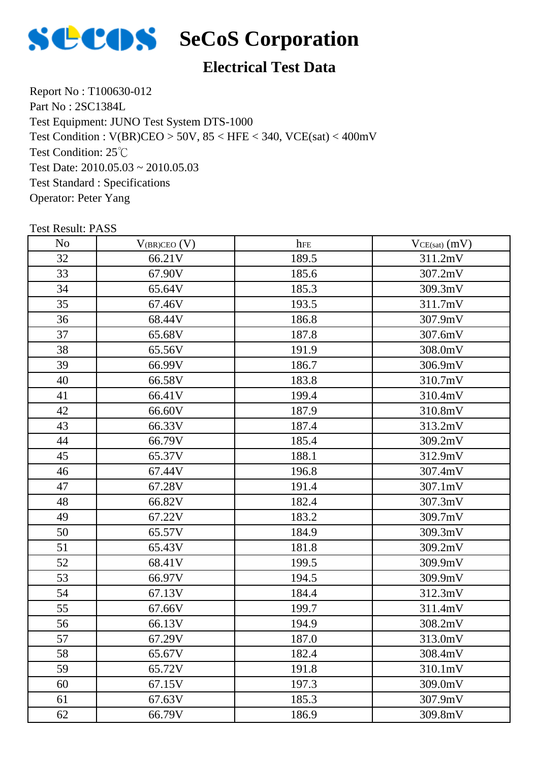

### **Electrical Test Data**

Report No : T100630-012 Part No : 2SC1384L Test Equipment: JUNO Test System DTS-1000 Test Condition: 25℃ Test Date: 2010.05.03 ~ 2010.05.03 Test Standard : Specifications Operator: Peter Yang Test Condition : V(BR)CEO > 50V, 85 < HFE < 340, VCE(sat) < 400mV

| N <sub>o</sub> | $V_{(BR)CEO} (V)$ | hFE   | $VCE(sat)$ $(mV)$ |
|----------------|-------------------|-------|-------------------|
| 32             | 66.21V            | 189.5 | 311.2mV           |
| 33             | 67.90V            | 185.6 | 307.2mV           |
| 34             | 65.64V            | 185.3 | 309.3mV           |
| 35             | 67.46V            | 193.5 | 311.7mV           |
| 36             | 68.44V            | 186.8 | 307.9mV           |
| 37             | 65.68V            | 187.8 | 307.6mV           |
| 38             | 65.56V            | 191.9 | 308.0mV           |
| 39             | 66.99V            | 186.7 | 306.9mV           |
| 40             | 66.58V            | 183.8 | 310.7mV           |
| 41             | 66.41V            | 199.4 | 310.4mV           |
| 42             | 66.60V            | 187.9 | 310.8mV           |
| 43             | 66.33V            | 187.4 | 313.2mV           |
| 44             | 66.79V            | 185.4 | 309.2mV           |
| 45             | 65.37V            | 188.1 | 312.9mV           |
| 46             | 67.44V            | 196.8 | 307.4mV           |
| 47             | 67.28V            | 191.4 | 307.1mV           |
| 48             | 66.82V            | 182.4 | 307.3mV           |
| 49             | 67.22V            | 183.2 | 309.7mV           |
| 50             | 65.57V            | 184.9 | 309.3mV           |
| 51             | 65.43V            | 181.8 | 309.2mV           |
| 52             | 68.41V            | 199.5 | 309.9mV           |
| 53             | 66.97V            | 194.5 | 309.9mV           |
| 54             | 67.13V            | 184.4 | 312.3mV           |
| 55             | 67.66V            | 199.7 | 311.4mV           |
| 56             | 66.13V            | 194.9 | 308.2mV           |
| 57             | 67.29V            | 187.0 | 313.0mV           |
| 58             | 65.67V            | 182.4 | 308.4mV           |
| 59             | 65.72V            | 191.8 | 310.1mV           |
| 60             | 67.15V            | 197.3 | 309.0mV           |
| 61             | 67.63V            | 185.3 | 307.9mV           |
| 62             | 66.79V            | 186.9 | 309.8mV           |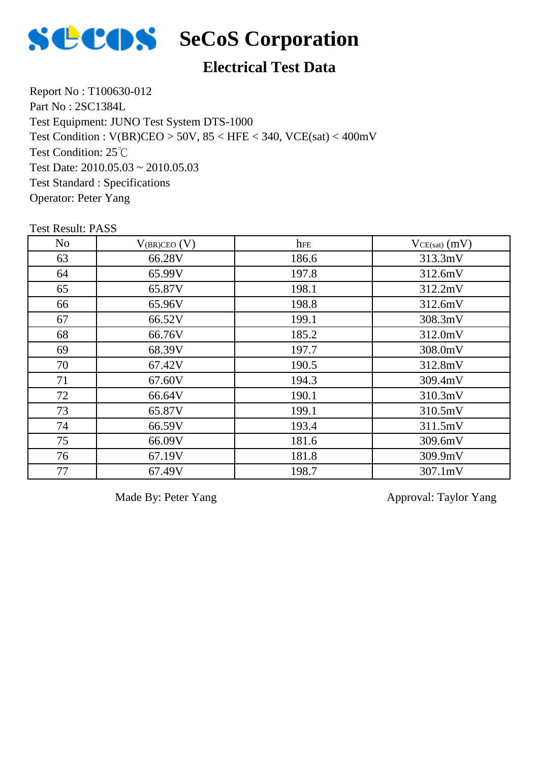

### **Electrical Test Data**

Report No : T100630-012 Part No : 2SC1384L Test Equipment: JUNO Test System DTS-1000 Test Condition: 25℃ Test Date:  $2010.05.03 \approx 2010.05.03$ Test Standard : Specifications Operator: Peter Yang Test Condition : V(BR)CEO > 50V, 85 < HFE < 340, VCE(sat) < 400mV

Test Result: PASS

| No | $V_{(BR)CEO} (V)$ | hfe   | $VCE(sat)$ (mV) |
|----|-------------------|-------|-----------------|
| 63 | 66.28V            | 186.6 | 313.3mV         |
| 64 | 65.99V            | 197.8 | 312.6mV         |
| 65 | 65.87V            | 198.1 | 312.2mV         |
| 66 | 65.96V            | 198.8 | 312.6mV         |
| 67 | 66.52V            | 199.1 | 308.3mV         |
| 68 | 66.76V            | 185.2 | 312.0mV         |
| 69 | 68.39V            | 197.7 | 308.0mV         |
| 70 | 67.42V            | 190.5 | 312.8mV         |
| 71 | 67.60V            | 194.3 | 309.4mV         |
| 72 | 66.64V            | 190.1 | 310.3mV         |
| 73 | 65.87V            | 199.1 | 310.5mV         |
| 74 | 66.59V            | 193.4 | 311.5mV         |
| 75 | 66.09V            | 181.6 | 309.6mV         |
| 76 | 67.19V            | 181.8 | 309.9mV         |
| 77 | 67.49V            | 198.7 | 307.1mV         |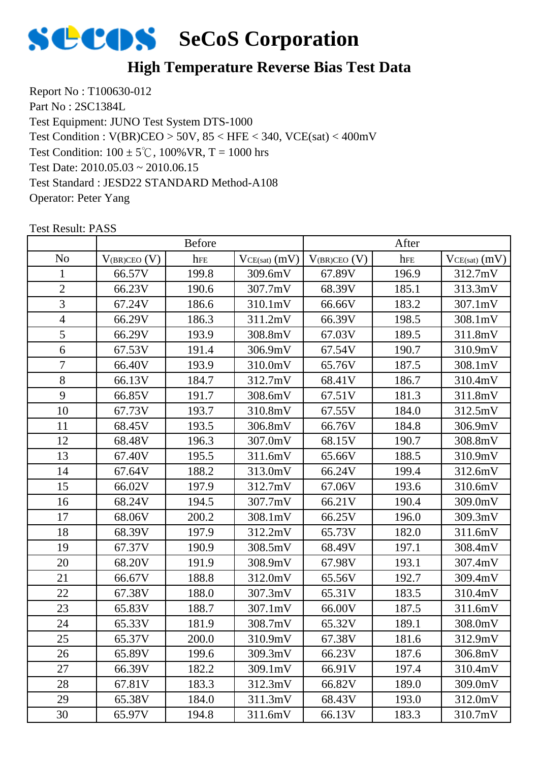

### **High Temperature Reverse Bias Test Data**

Report No : T100630-012 Part No : 2SC1384L Test Equipment: JUNO Test System DTS-1000 Test Condition:  $100 \pm 5^{\circ}$ C,  $100\%$  VR, T = 1000 hrs Test Date: 2010.05.03 ~ 2010.06.15 Test Standard : JESD22 STANDARD Method-A108 Operator: Peter Yang Test Condition : V(BR)CEO > 50V, 85 < HFE < 340, VCE(sat) < 400mV

|                |                   | <b>Before</b> |                 |                   | After |                   |
|----------------|-------------------|---------------|-----------------|-------------------|-------|-------------------|
| N <sub>o</sub> | $V_{(BR)CEO} (V)$ | hFE           | $VCE(sat)$ (mV) | $V_{(BR)CEO} (V)$ | hFE   | $VCE(sat)$ $(mV)$ |
| $\mathbf{1}$   | 66.57V            | 199.8         | 309.6mV         | 67.89V            | 196.9 | 312.7mV           |
| $\overline{2}$ | 66.23V            | 190.6         | 307.7mV         | 68.39V            | 185.1 | 313.3mV           |
| 3              | 67.24V            | 186.6         | 310.1mV         | 66.66V            | 183.2 | 307.1mV           |
| $\overline{4}$ | 66.29V            | 186.3         | 311.2mV         | 66.39V            | 198.5 | 308.1mV           |
| 5              | 66.29V            | 193.9         | 308.8mV         | 67.03V            | 189.5 | 311.8mV           |
| 6              | 67.53V            | 191.4         | 306.9mV         | 67.54V            | 190.7 | 310.9mV           |
| $\overline{7}$ | 66.40V            | 193.9         | 310.0mV         | 65.76V            | 187.5 | 308.1mV           |
| 8              | 66.13V            | 184.7         | 312.7mV         | 68.41V            | 186.7 | 310.4mV           |
| 9              | 66.85V            | 191.7         | 308.6mV         | 67.51V            | 181.3 | 311.8mV           |
| 10             | 67.73V            | 193.7         | 310.8mV         | 67.55V            | 184.0 | 312.5mV           |
| 11             | 68.45V            | 193.5         | 306.8mV         | 66.76V            | 184.8 | 306.9mV           |
| 12             | 68.48V            | 196.3         | 307.0mV         | 68.15V            | 190.7 | 308.8mV           |
| 13             | 67.40V            | 195.5         | 311.6mV         | 65.66V            | 188.5 | 310.9mV           |
| 14             | 67.64V            | 188.2         | 313.0mV         | 66.24V            | 199.4 | 312.6mV           |
| 15             | 66.02V            | 197.9         | 312.7mV         | 67.06V            | 193.6 | 310.6mV           |
| 16             | 68.24V            | 194.5         | 307.7mV         | 66.21V            | 190.4 | 309.0mV           |
| 17             | 68.06V            | 200.2         | 308.1mV         | 66.25V            | 196.0 | 309.3mV           |
| 18             | 68.39V            | 197.9         | 312.2mV         | 65.73V            | 182.0 | 311.6mV           |
| 19             | 67.37V            | 190.9         | 308.5mV         | 68.49V            | 197.1 | 308.4mV           |
| 20             | 68.20V            | 191.9         | 308.9mV         | 67.98V            | 193.1 | 307.4mV           |
| 21             | 66.67V            | 188.8         | 312.0mV         | 65.56V            | 192.7 | 309.4mV           |
| 22             | 67.38V            | 188.0         | 307.3mV         | 65.31V            | 183.5 | 310.4mV           |
| 23             | 65.83V            | 188.7         | 307.1mV         | 66.00V            | 187.5 | 311.6mV           |
| 24             | 65.33V            | 181.9         | 308.7mV         | 65.32V            | 189.1 | 308.0mV           |
| 25             | 65.37V            | 200.0         | 310.9mV         | 67.38V            | 181.6 | 312.9mV           |
| 26             | 65.89V            | 199.6         | 309.3mV         | 66.23V            | 187.6 | 306.8mV           |
| 27             | 66.39V            | 182.2         | 309.1mV         | 66.91V            | 197.4 | 310.4mV           |
| 28             | 67.81V            | 183.3         | 312.3mV         | 66.82V            | 189.0 | 309.0mV           |
| 29             | 65.38V            | 184.0         | 311.3mV         | 68.43V            | 193.0 | 312.0mV           |
| 30             | 65.97V            | 194.8         | 311.6mV         | 66.13V            | 183.3 | 310.7mV           |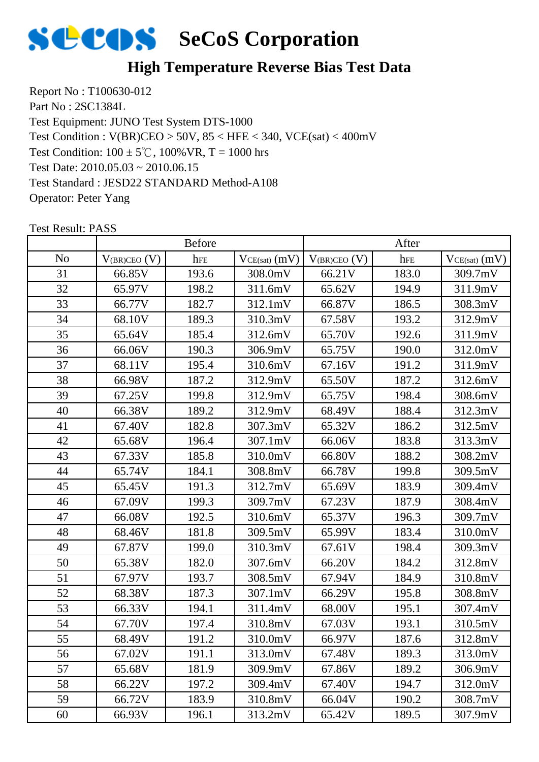

### **High Temperature Reverse Bias Test Data**

Report No : T100630-012 Part No : 2SC1384L Test Equipment: JUNO Test System DTS-1000 Test Condition:  $100 \pm 5^{\circ}$ C,  $100\%$  VR, T = 1000 hrs Test Date: 2010.05.03 ~ 2010.06.15 Test Standard : JESD22 STANDARD Method-A108 Operator: Peter Yang Test Condition : V(BR)CEO > 50V, 85 < HFE < 340, VCE(sat) < 400mV

|                |                   | <b>Before</b> |                   |                   | After |                 |
|----------------|-------------------|---------------|-------------------|-------------------|-------|-----------------|
| N <sub>o</sub> | $V_{(BR)CEO}$ (V) | hFE           | $VCE(sat)$ $(mV)$ | $V_{(BR)CEO} (V)$ | hFE   | $VCE(sat)$ (mV) |
| 31             | 66.85V            | 193.6         | 308.0mV           | 66.21V            | 183.0 | 309.7mV         |
| 32             | 65.97V            | 198.2         | 311.6mV           | 65.62V            | 194.9 | 311.9mV         |
| 33             | 66.77V            | 182.7         | 312.1mV           | 66.87V            | 186.5 | 308.3mV         |
| 34             | 68.10V            | 189.3         | 310.3mV           | 67.58V            | 193.2 | 312.9mV         |
| 35             | 65.64V            | 185.4         | 312.6mV           | 65.70V            | 192.6 | 311.9mV         |
| 36             | 66.06V            | 190.3         | 306.9mV           | 65.75V            | 190.0 | 312.0mV         |
| 37             | 68.11V            | 195.4         | 310.6mV           | 67.16V            | 191.2 | 311.9mV         |
| 38             | 66.98V            | 187.2         | 312.9mV           | 65.50V            | 187.2 | 312.6mV         |
| 39             | 67.25V            | 199.8         | 312.9mV           | 65.75V            | 198.4 | 308.6mV         |
| 40             | 66.38V            | 189.2         | 312.9mV           | 68.49V            | 188.4 | 312.3mV         |
| 41             | 67.40V            | 182.8         | 307.3mV           | 65.32V            | 186.2 | 312.5mV         |
| 42             | 65.68V            | 196.4         | 307.1mV           | 66.06V            | 183.8 | 313.3mV         |
| 43             | 67.33V            | 185.8         | 310.0mV           | 66.80V            | 188.2 | 308.2mV         |
| 44             | 65.74V            | 184.1         | 308.8mV           | 66.78V            | 199.8 | 309.5mV         |
| 45             | 65.45V            | 191.3         | 312.7mV           | 65.69V            | 183.9 | 309.4mV         |
| 46             | 67.09V            | 199.3         | 309.7mV           | 67.23V            | 187.9 | 308.4mV         |
| 47             | 66.08V            | 192.5         | 310.6mV           | 65.37V            | 196.3 | 309.7mV         |
| 48             | 68.46V            | 181.8         | 309.5mV           | 65.99V            | 183.4 | 310.0mV         |
| 49             | 67.87V            | 199.0         | 310.3mV           | 67.61V            | 198.4 | 309.3mV         |
| 50             | 65.38V            | 182.0         | 307.6mV           | 66.20V            | 184.2 | 312.8mV         |
| 51             | 67.97V            | 193.7         | 308.5mV           | 67.94V            | 184.9 | 310.8mV         |
| 52             | 68.38V            | 187.3         | 307.1mV           | 66.29V            | 195.8 | 308.8mV         |
| 53             | 66.33V            | 194.1         | 311.4mV           | 68.00V            | 195.1 | 307.4mV         |
| 54             | 67.70V            | 197.4         | 310.8mV           | 67.03V            | 193.1 | 310.5mV         |
| 55             | 68.49V            | 191.2         | 310.0mV           | 66.97V            | 187.6 | 312.8mV         |
| 56             | 67.02V            | 191.1         | 313.0mV           | 67.48V            | 189.3 | 313.0mV         |
| 57             | 65.68V            | 181.9         | 309.9mV           | 67.86V            | 189.2 | 306.9mV         |
| 58             | 66.22V            | 197.2         | 309.4mV           | 67.40V            | 194.7 | 312.0mV         |
| 59             | 66.72V            | 183.9         | 310.8mV           | 66.04V            | 190.2 | 308.7mV         |
| 60             | 66.93V            | 196.1         | 313.2mV           | 65.42V            | 189.5 | 307.9mV         |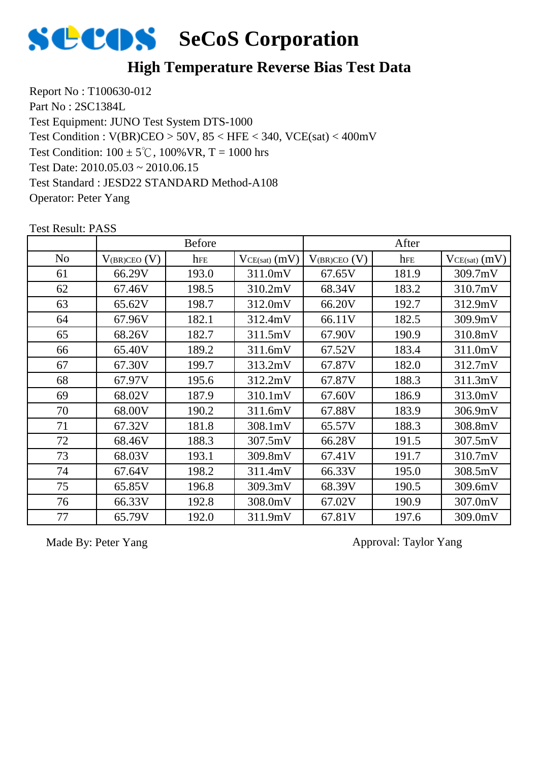

### **High Temperature Reverse Bias Test Data**

Report No : T100630-012 Part No : 2SC1384L Test Equipment: JUNO Test System DTS-1000 Test Condition:  $100 \pm 5^{\circ}$ C,  $100\%$  VR, T = 1000 hrs Test Date: 2010.05.03 ~ 2010.06.15 Test Standard : JESD22 STANDARD Method-A108 Operator: Peter Yang Test Condition : V(BR)CEO > 50V, 85 < HFE < 340, VCE(sat) < 400mV

|                |                   | <b>Before</b> |                   |                   | After |                   |
|----------------|-------------------|---------------|-------------------|-------------------|-------|-------------------|
| N <sub>o</sub> | $V_{(BR)CEO}$ (V) | hFE           | $VCE(sat)$ $(mV)$ | $V_{(BR)CEO} (V)$ | hFE   | $VCE(sat)$ $(mV)$ |
| 61             | 66.29V            | 193.0         | 311.0mV           | 67.65V            | 181.9 | 309.7mV           |
| 62             | 67.46V            | 198.5         | 310.2mV           | 68.34V            | 183.2 | 310.7mV           |
| 63             | 65.62V            | 198.7         | 312.0mV           | 66.20V            | 192.7 | 312.9mV           |
| 64             | 67.96V            | 182.1         | 312.4mV           | 66.11V            | 182.5 | 309.9mV           |
| 65             | 68.26V            | 182.7         | 311.5mV           | 67.90V            | 190.9 | 310.8mV           |
| 66             | 65.40V            | 189.2         | 311.6mV           | 67.52V            | 183.4 | 311.0mV           |
| 67             | 67.30V            | 199.7         | 313.2mV           | 67.87V            | 182.0 | 312.7mV           |
| 68             | 67.97V            | 195.6         | 312.2mV           | 67.87V            | 188.3 | 311.3mV           |
| 69             | 68.02V            | 187.9         | 310.1mV           | 67.60V            | 186.9 | 313.0mV           |
| 70             | 68.00V            | 190.2         | 311.6mV           | 67.88V            | 183.9 | 306.9mV           |
| 71             | 67.32V            | 181.8         | 308.1mV           | 65.57V            | 188.3 | 308.8mV           |
| 72             | 68.46V            | 188.3         | 307.5mV           | 66.28V            | 191.5 | 307.5mV           |
| 73             | 68.03V            | 193.1         | 309.8mV           | 67.41V            | 191.7 | 310.7mV           |
| 74             | 67.64V            | 198.2         | 311.4mV           | 66.33V            | 195.0 | 308.5mV           |
| 75             | 65.85V            | 196.8         | 309.3mV           | 68.39V            | 190.5 | 309.6mV           |
| 76             | 66.33V            | 192.8         | 308.0mV           | 67.02V            | 190.9 | 307.0mV           |
| 77             | 65.79V            | 192.0         | 311.9mV           | 67.81V            | 197.6 | 309.0mV           |

Test Result: PASS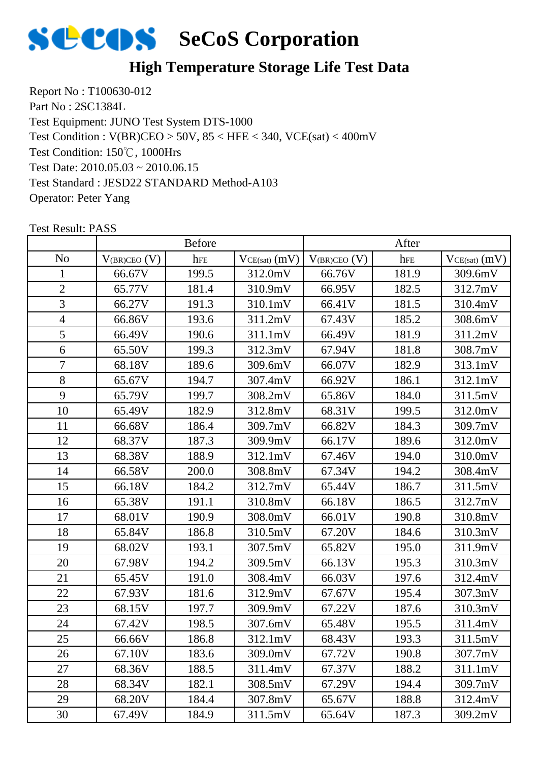

### **High Temperature Storage Life Test Data**

Report No : T100630-012 Part No : 2SC1384L Test Equipment: JUNO Test System DTS-1000 Test Condition: 150℃, 1000Hrs Test Date: 2010.05.03 ~ 2010.06.15 Test Standard : JESD22 STANDARD Method-A103 Operator: Peter Yang Test Condition : V(BR)CEO > 50V, 85 < HFE < 340, VCE(sat) < 400mV

|                |                   | <b>Before</b> |                 |                   | After |                   |
|----------------|-------------------|---------------|-----------------|-------------------|-------|-------------------|
| N <sub>o</sub> | $V_{(BR)CEO} (V)$ | hFE           | $VCE(sat)$ (mV) | $V_{(BR)CEO} (V)$ | hFE   | $VCE(sat)$ $(mV)$ |
| $\mathbf{1}$   | 66.67V            | 199.5         | 312.0mV         | 66.76V            | 181.9 | 309.6mV           |
| $\overline{2}$ | 65.77V            | 181.4         | 310.9mV         | 66.95V            | 182.5 | 312.7mV           |
| 3              | 66.27V            | 191.3         | 310.1mV         | 66.41V            | 181.5 | 310.4mV           |
| $\overline{4}$ | 66.86V            | 193.6         | 311.2mV         | 67.43V            | 185.2 | 308.6mV           |
| 5              | 66.49V            | 190.6         | 311.1mV         | 66.49V            | 181.9 | 311.2mV           |
| 6              | 65.50V            | 199.3         | 312.3mV         | 67.94V            | 181.8 | 308.7mV           |
| $\overline{7}$ | 68.18V            | 189.6         | 309.6mV         | 66.07V            | 182.9 | 313.1mV           |
| 8              | 65.67V            | 194.7         | 307.4mV         | 66.92V            | 186.1 | 312.1mV           |
| 9              | 65.79V            | 199.7         | 308.2mV         | 65.86V            | 184.0 | 311.5mV           |
| 10             | 65.49V            | 182.9         | 312.8mV         | 68.31V            | 199.5 | 312.0mV           |
| 11             | 66.68V            | 186.4         | 309.7mV         | 66.82V            | 184.3 | 309.7mV           |
| 12             | 68.37V            | 187.3         | 309.9mV         | 66.17V            | 189.6 | 312.0mV           |
| 13             | 68.38V            | 188.9         | 312.1mV         | 67.46V            | 194.0 | 310.0mV           |
| 14             | 66.58V            | 200.0         | 308.8mV         | 67.34V            | 194.2 | 308.4mV           |
| 15             | 66.18V            | 184.2         | 312.7mV         | 65.44V            | 186.7 | 311.5mV           |
| 16             | 65.38V            | 191.1         | 310.8mV         | 66.18V            | 186.5 | 312.7mV           |
| 17             | 68.01V            | 190.9         | 308.0mV         | 66.01V            | 190.8 | 310.8mV           |
| 18             | 65.84V            | 186.8         | 310.5mV         | 67.20V            | 184.6 | 310.3mV           |
| 19             | 68.02V            | 193.1         | 307.5mV         | 65.82V            | 195.0 | 311.9mV           |
| 20             | 67.98V            | 194.2         | 309.5mV         | 66.13V            | 195.3 | 310.3mV           |
| 21             | 65.45V            | 191.0         | 308.4mV         | 66.03V            | 197.6 | 312.4mV           |
| 22             | 67.93V            | 181.6         | 312.9mV         | 67.67V            | 195.4 | 307.3mV           |
| 23             | 68.15V            | 197.7         | 309.9mV         | 67.22V            | 187.6 | 310.3mV           |
| 24             | 67.42V            | 198.5         | 307.6mV         | 65.48V            | 195.5 | 311.4mV           |
| 25             | 66.66V            | 186.8         | 312.1mV         | 68.43V            | 193.3 | 311.5mV           |
| 26             | 67.10V            | 183.6         | 309.0mV         | 67.72V            | 190.8 | 307.7mV           |
| 27             | 68.36V            | 188.5         | 311.4mV         | 67.37V            | 188.2 | 311.1mV           |
| 28             | 68.34V            | 182.1         | 308.5mV         | 67.29V            | 194.4 | 309.7mV           |
| 29             | 68.20V            | 184.4         | 307.8mV         | 65.67V            | 188.8 | 312.4mV           |
| 30             | 67.49V            | 184.9         | 311.5mV         | 65.64V            | 187.3 | 309.2mV           |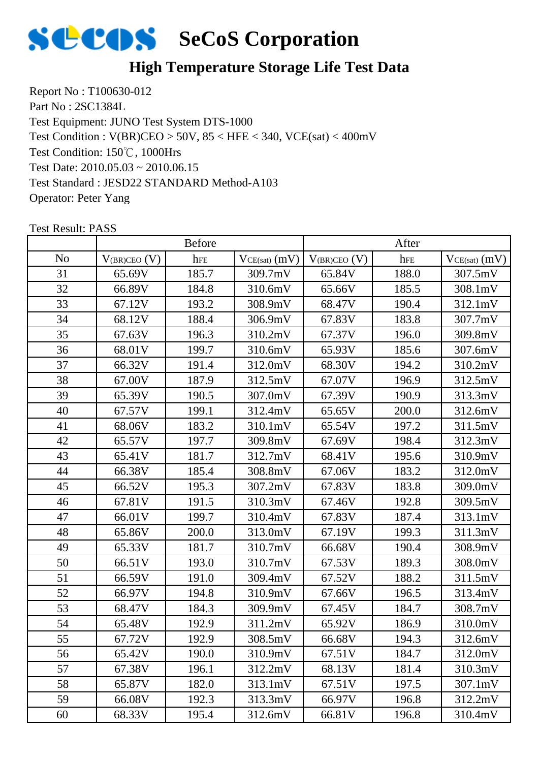

### **High Temperature Storage Life Test Data**

Report No : T100630-012 Part No : 2SC1384L Test Equipment: JUNO Test System DTS-1000 Test Condition: 150℃, 1000Hrs Test Date: 2010.05.03 ~ 2010.06.15 Test Standard : JESD22 STANDARD Method-A103 Operator: Peter Yang Test Condition : V(BR)CEO > 50V, 85 < HFE < 340, VCE(sat) < 400mV

|                |                   | Before |                 |                   | After |                   |
|----------------|-------------------|--------|-----------------|-------------------|-------|-------------------|
| N <sub>0</sub> | $V_{(BR)CEO}$ (V) | hFE    | $VCE(sat)$ (mV) | $V_{(BR)CEO} (V)$ | hFE   | $VCE(sat)$ $(mV)$ |
| 31             | 65.69V            | 185.7  | 309.7mV         | 65.84V            | 188.0 | 307.5mV           |
| 32             | 66.89V            | 184.8  | 310.6mV         | 65.66V            | 185.5 | 308.1mV           |
| 33             | 67.12V            | 193.2  | 308.9mV         | 68.47V            | 190.4 | 312.1mV           |
| 34             | 68.12V            | 188.4  | 306.9mV         | 67.83V            | 183.8 | 307.7mV           |
| 35             | 67.63V            | 196.3  | 310.2mV         | 67.37V            | 196.0 | 309.8mV           |
| 36             | 68.01V            | 199.7  | 310.6mV         | 65.93V            | 185.6 | 307.6mV           |
| 37             | 66.32V            | 191.4  | 312.0mV         | 68.30V            | 194.2 | 310.2mV           |
| 38             | 67.00V            | 187.9  | 312.5mV         | 67.07V            | 196.9 | 312.5mV           |
| 39             | 65.39V            | 190.5  | 307.0mV         | 67.39V            | 190.9 | 313.3mV           |
| 40             | 67.57V            | 199.1  | 312.4mV         | 65.65V            | 200.0 | 312.6mV           |
| 41             | 68.06V            | 183.2  | 310.1mV         | 65.54V            | 197.2 | 311.5mV           |
| 42             | 65.57V            | 197.7  | 309.8mV         | 67.69V            | 198.4 | 312.3mV           |
| 43             | 65.41V            | 181.7  | 312.7mV         | 68.41V            | 195.6 | 310.9mV           |
| 44             | 66.38V            | 185.4  | 308.8mV         | 67.06V            | 183.2 | 312.0mV           |
| 45             | 66.52V            | 195.3  | 307.2mV         | 67.83V            | 183.8 | 309.0mV           |
| 46             | 67.81V            | 191.5  | 310.3mV         | 67.46V            | 192.8 | 309.5mV           |
| 47             | 66.01V            | 199.7  | 310.4mV         | 67.83V            | 187.4 | 313.1mV           |
| 48             | 65.86V            | 200.0  | 313.0mV         | 67.19V            | 199.3 | 311.3mV           |
| 49             | 65.33V            | 181.7  | 310.7mV         | 66.68V            | 190.4 | 308.9mV           |
| 50             | 66.51V            | 193.0  | 310.7mV         | 67.53V            | 189.3 | 308.0mV           |
| 51             | 66.59V            | 191.0  | 309.4mV         | 67.52V            | 188.2 | 311.5mV           |
| 52             | 66.97V            | 194.8  | 310.9mV         | 67.66V            | 196.5 | 313.4mV           |
| 53             | 68.47V            | 184.3  | 309.9mV         | 67.45V            | 184.7 | 308.7mV           |
| 54             | 65.48V            | 192.9  | 311.2mV         | 65.92V            | 186.9 | 310.0mV           |
| 55             | 67.72V            | 192.9  | 308.5mV         | 66.68V            | 194.3 | 312.6mV           |
| 56             | 65.42V            | 190.0  | 310.9mV         | 67.51V            | 184.7 | 312.0mV           |
| 57             | 67.38V            | 196.1  | 312.2mV         | 68.13V            | 181.4 | 310.3mV           |
| 58             | 65.87V            | 182.0  | 313.1mV         | 67.51V            | 197.5 | 307.1mV           |
| 59             | 66.08V            | 192.3  | 313.3mV         | 66.97V            | 196.8 | 312.2mV           |
| 60             | 68.33V            | 195.4  | 312.6mV         | 66.81V            | 196.8 | 310.4mV           |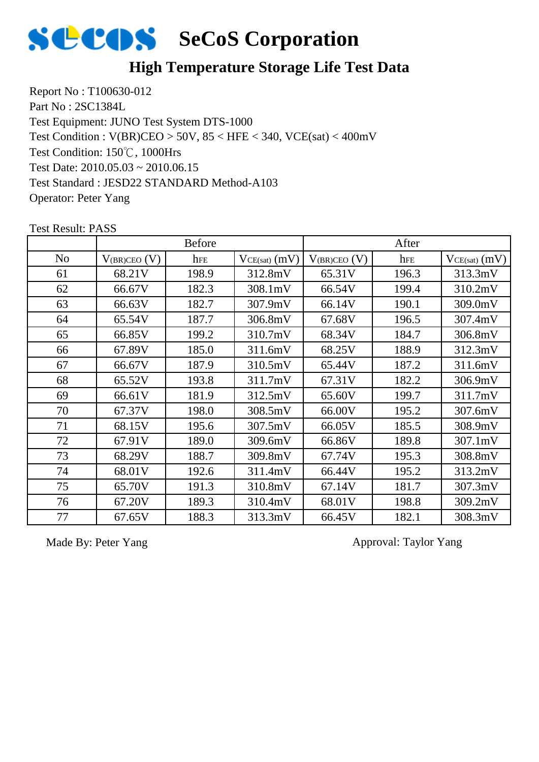

### **High Temperature Storage Life Test Data**

Report No : T100630-012 Part No : 2SC1384L Test Equipment: JUNO Test System DTS-1000 Test Condition: 150℃, 1000Hrs Test Date: 2010.05.03 ~ 2010.06.15 Test Standard : JESD22 STANDARD Method-A103 Operator: Peter Yang Test Condition : V(BR)CEO > 50V, 85 < HFE < 340, VCE(sat) < 400mV

|                |                   | <b>Before</b> |                   |                   | After |                   |
|----------------|-------------------|---------------|-------------------|-------------------|-------|-------------------|
| N <sub>0</sub> | $V_{(BR)CEO} (V)$ | hFE           | $VCE(sat)$ $(mV)$ | $V_{(BR)CEO} (V)$ | hFE   | $VCE(sat)$ $(mV)$ |
| 61             | 68.21V            | 198.9         | 312.8mV           | 65.31V            | 196.3 | 313.3mV           |
| 62             | 66.67V            | 182.3         | 308.1mV           | 66.54V            | 199.4 | 310.2mV           |
| 63             | 66.63V            | 182.7         | 307.9mV           | 66.14V            | 190.1 | 309.0mV           |
| 64             | 65.54V            | 187.7         | 306.8mV           | 67.68V            | 196.5 | 307.4mV           |
| 65             | 66.85V            | 199.2         | 310.7mV           | 68.34V            | 184.7 | 306.8mV           |
| 66             | 67.89V            | 185.0         | 311.6mV           | 68.25V            | 188.9 | 312.3mV           |
| 67             | 66.67V            | 187.9         | 310.5mV           | 65.44V            | 187.2 | 311.6mV           |
| 68             | 65.52V            | 193.8         | 311.7mV           | 67.31V            | 182.2 | 306.9mV           |
| 69             | 66.61V            | 181.9         | 312.5mV           | 65.60V            | 199.7 | 311.7mV           |
| 70             | 67.37V            | 198.0         | 308.5mV           | 66.00V            | 195.2 | 307.6mV           |
| 71             | 68.15V            | 195.6         | 307.5mV           | 66.05V            | 185.5 | 308.9mV           |
| 72             | 67.91V            | 189.0         | 309.6mV           | 66.86V            | 189.8 | 307.1mV           |
| 73             | 68.29V            | 188.7         | 309.8mV           | 67.74V            | 195.3 | 308.8mV           |
| 74             | 68.01V            | 192.6         | 311.4mV           | 66.44V            | 195.2 | 313.2mV           |
| 75             | 65.70V            | 191.3         | 310.8mV           | 67.14V            | 181.7 | 307.3mV           |
| 76             | 67.20V            | 189.3         | 310.4mV           | 68.01V            | 198.8 | 309.2mV           |
| 77             | 67.65V            | 188.3         | 313.3mV           | 66.45V            | 182.1 | 308.3mV           |

Test Result: PASS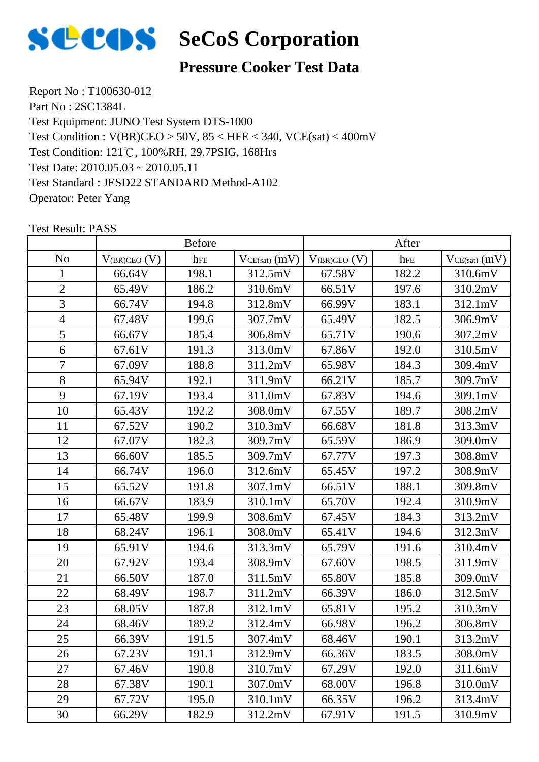

### **Pressure Cooker Test Data**

Report No : T100630-012 Part No : 2SC1384L Test Equipment: JUNO Test System DTS-1000 Test Condition: 121℃, 100%RH, 29.7PSIG, 168Hrs Test Date: 2010.05.03 ~ 2010.05.11 Test Standard : JESD22 STANDARD Method-A102 Operator: Peter Yang Test Condition : V(BR)CEO > 50V, 85 < HFE < 340, VCE(sat) < 400mV

|                | <b>Before</b>     |       |                 | After             |       |                   |
|----------------|-------------------|-------|-----------------|-------------------|-------|-------------------|
| N <sub>o</sub> | $V_{(BR)CEO} (V)$ | hFE   | $VCE(sat)$ (mV) | $V_{(BR)CEO} (V)$ | hFE   | $VCE(sat)$ $(mV)$ |
| $\mathbf{1}$   | 66.64V            | 198.1 | 312.5mV         | 67.58V            | 182.2 | 310.6mV           |
| $\overline{2}$ | 65.49V            | 186.2 | 310.6mV         | 66.51V            | 197.6 | 310.2mV           |
| 3              | 66.74V            | 194.8 | 312.8mV         | 66.99V            | 183.1 | 312.1mV           |
| $\overline{4}$ | 67.48V            | 199.6 | 307.7mV         | 65.49V            | 182.5 | 306.9mV           |
| 5              | 66.67V            | 185.4 | 306.8mV         | 65.71V            | 190.6 | 307.2mV           |
| 6              | 67.61V            | 191.3 | 313.0mV         | 67.86V            | 192.0 | 310.5mV           |
| $\overline{7}$ | 67.09V            | 188.8 | 311.2mV         | 65.98V            | 184.3 | 309.4mV           |
| 8              | 65.94V            | 192.1 | 311.9mV         | 66.21V            | 185.7 | 309.7mV           |
| 9              | 67.19V            | 193.4 | 311.0mV         | 67.83V            | 194.6 | 309.1mV           |
| 10             | 65.43V            | 192.2 | 308.0mV         | 67.55V            | 189.7 | 308.2mV           |
| 11             | 67.52V            | 190.2 | 310.3mV         | 66.68V            | 181.8 | 313.3mV           |
| 12             | 67.07V            | 182.3 | 309.7mV         | 65.59V            | 186.9 | 309.0mV           |
| 13             | 66.60V            | 185.5 | 309.7mV         | 67.77V            | 197.3 | 308.8mV           |
| 14             | 66.74V            | 196.0 | 312.6mV         | 65.45V            | 197.2 | 308.9mV           |
| 15             | 65.52V            | 191.8 | 307.1mV         | 66.51V            | 188.1 | 309.8mV           |
| 16             | 66.67V            | 183.9 | 310.1mV         | 65.70V            | 192.4 | 310.9mV           |
| 17             | 65.48V            | 199.9 | 308.6mV         | 67.45V            | 184.3 | 313.2mV           |
| 18             | 68.24V            | 196.1 | 308.0mV         | 65.41V            | 194.6 | 312.3mV           |
| 19             | 65.91V            | 194.6 | 313.3mV         | 65.79V            | 191.6 | 310.4mV           |
| 20             | 67.92V            | 193.4 | 308.9mV         | 67.60V            | 198.5 | 311.9mV           |
| 21             | 66.50V            | 187.0 | 311.5mV         | 65.80V            | 185.8 | 309.0mV           |
| 22             | 68.49V            | 198.7 | 311.2mV         | 66.39V            | 186.0 | 312.5mV           |
| 23             | 68.05V            | 187.8 | 312.1mV         | 65.81V            | 195.2 | 310.3mV           |
| 24             | 68.46V            | 189.2 | 312.4mV         | 66.98V            | 196.2 | 306.8mV           |
| 25             | 66.39V            | 191.5 | 307.4mV         | 68.46V            | 190.1 | 313.2mV           |
| 26             | 67.23V            | 191.1 | 312.9mV         | 66.36V            | 183.5 | 308.0mV           |
| 27             | 67.46V            | 190.8 | 310.7mV         | 67.29V            | 192.0 | 311.6mV           |
| 28             | 67.38V            | 190.1 | 307.0mV         | 68.00V            | 196.8 | 310.0mV           |
| 29             | 67.72V            | 195.0 | 310.1mV         | 66.35V            | 196.2 | 313.4mV           |
| 30             | 66.29V            | 182.9 | 312.2mV         | 67.91V            | 191.5 | 310.9mV           |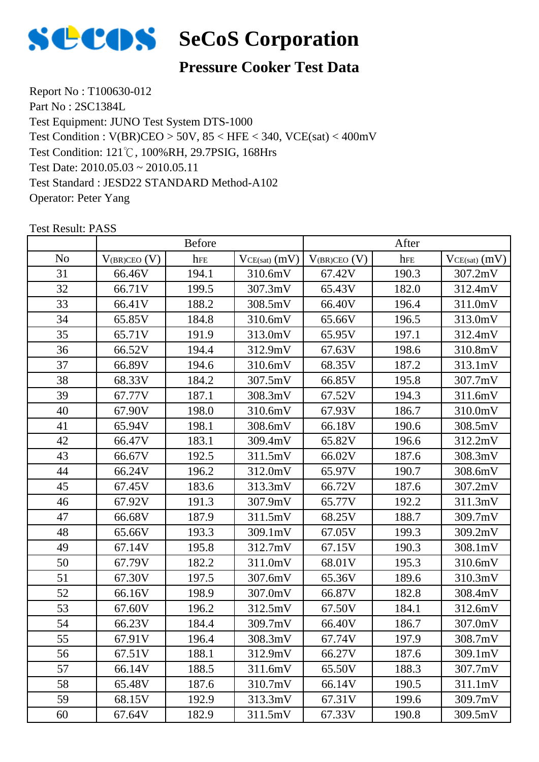

### **Pressure Cooker Test Data**

Report No : T100630-012 Part No : 2SC1384L Test Equipment: JUNO Test System DTS-1000 Test Condition: 121℃, 100%RH, 29.7PSIG, 168Hrs Test Date: 2010.05.03 ~ 2010.05.11 Test Standard : JESD22 STANDARD Method-A102 Operator: Peter Yang Test Condition : V(BR)CEO > 50V, 85 < HFE < 340, VCE(sat) < 400mV

|                | Before            |       |                 | After             |       |                   |
|----------------|-------------------|-------|-----------------|-------------------|-------|-------------------|
| N <sub>0</sub> | $V_{(BR)CEO}$ (V) | hFE   | $VCE(sat)$ (mV) | $V_{(BR)CEO} (V)$ | hFE   | $VCE(sat)$ $(mV)$ |
| 31             | 66.46V            | 194.1 | 310.6mV         | 67.42V            | 190.3 | 307.2mV           |
| 32             | 66.71V            | 199.5 | 307.3mV         | 65.43V            | 182.0 | 312.4mV           |
| 33             | 66.41V            | 188.2 | 308.5mV         | 66.40V            | 196.4 | 311.0mV           |
| 34             | 65.85V            | 184.8 | 310.6mV         | 65.66V            | 196.5 | 313.0mV           |
| 35             | 65.71V            | 191.9 | 313.0mV         | 65.95V            | 197.1 | 312.4mV           |
| 36             | 66.52V            | 194.4 | 312.9mV         | 67.63V            | 198.6 | 310.8mV           |
| 37             | 66.89V            | 194.6 | 310.6mV         | 68.35V            | 187.2 | 313.1mV           |
| 38             | 68.33V            | 184.2 | 307.5mV         | 66.85V            | 195.8 | 307.7mV           |
| 39             | 67.77V            | 187.1 | 308.3mV         | 67.52V            | 194.3 | 311.6mV           |
| 40             | 67.90V            | 198.0 | 310.6mV         | 67.93V            | 186.7 | 310.0mV           |
| 41             | 65.94V            | 198.1 | 308.6mV         | 66.18V            | 190.6 | 308.5mV           |
| 42             | 66.47V            | 183.1 | 309.4mV         | 65.82V            | 196.6 | 312.2mV           |
| 43             | 66.67V            | 192.5 | 311.5mV         | 66.02V            | 187.6 | 308.3mV           |
| 44             | 66.24V            | 196.2 | 312.0mV         | 65.97V            | 190.7 | 308.6mV           |
| 45             | 67.45V            | 183.6 | 313.3mV         | 66.72V            | 187.6 | 307.2mV           |
| 46             | 67.92V            | 191.3 | 307.9mV         | 65.77V            | 192.2 | 311.3mV           |
| 47             | 66.68V            | 187.9 | 311.5mV         | 68.25V            | 188.7 | 309.7mV           |
| 48             | 65.66V            | 193.3 | 309.1mV         | 67.05V            | 199.3 | 309.2mV           |
| 49             | 67.14V            | 195.8 | 312.7mV         | 67.15V            | 190.3 | 308.1mV           |
| 50             | 67.79V            | 182.2 | 311.0mV         | 68.01V            | 195.3 | 310.6mV           |
| 51             | 67.30V            | 197.5 | 307.6mV         | 65.36V            | 189.6 | 310.3mV           |
| 52             | 66.16V            | 198.9 | 307.0mV         | 66.87V            | 182.8 | 308.4mV           |
| 53             | 67.60V            | 196.2 | 312.5mV         | 67.50V            | 184.1 | 312.6mV           |
| 54             | 66.23V            | 184.4 | 309.7mV         | 66.40V            | 186.7 | 307.0mV           |
| 55             | 67.91V            | 196.4 | 308.3mV         | 67.74V            | 197.9 | 308.7mV           |
| 56             | 67.51V            | 188.1 | 312.9mV         | 66.27V            | 187.6 | 309.1mV           |
| 57             | 66.14V            | 188.5 | 311.6mV         | 65.50V            | 188.3 | 307.7mV           |
| 58             | 65.48V            | 187.6 | 310.7mV         | 66.14V            | 190.5 | 311.1mV           |
| 59             | 68.15V            | 192.9 | 313.3mV         | 67.31V            | 199.6 | 309.7mV           |
| 60             | 67.64V            | 182.9 | 311.5mV         | 67.33V            | 190.8 | 309.5mV           |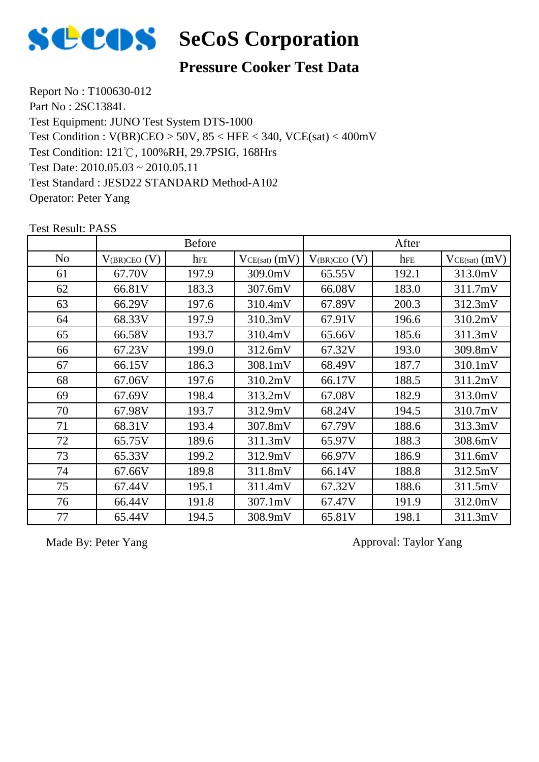

### **Pressure Cooker Test Data**

Report No : T100630-012 Part No : 2SC1384L Test Equipment: JUNO Test System DTS-1000 Test Condition: 121℃, 100%RH, 29.7PSIG, 168Hrs Test Date: 2010.05.03 ~ 2010.05.11 Test Standard : JESD22 STANDARD Method-A102 Operator: Peter Yang Test Condition : V(BR)CEO > 50V, 85 < HFE < 340, VCE(sat) < 400mV

|                | <b>Before</b>     |       |                   | After               |       |                   |
|----------------|-------------------|-------|-------------------|---------------------|-------|-------------------|
| N <sub>0</sub> | $V_{(BR)CEO}$ (V) | hFE   | $VCE(sat)$ $(mV)$ | $V_{(BR)CEO}$ $(V)$ | hFE   | $VCE(sat)$ $(mV)$ |
| 61             | 67.70V            | 197.9 | 309.0mV           | 65.55V              | 192.1 | 313.0mV           |
| 62             | 66.81V            | 183.3 | 307.6mV           | 66.08V              | 183.0 | 311.7mV           |
| 63             | 66.29V            | 197.6 | 310.4mV           | 67.89V              | 200.3 | 312.3mV           |
| 64             | 68.33V            | 197.9 | 310.3mV           | 67.91V              | 196.6 | 310.2mV           |
| 65             | 66.58V            | 193.7 | 310.4mV           | 65.66V              | 185.6 | 311.3mV           |
| 66             | 67.23V            | 199.0 | 312.6mV           | 67.32V              | 193.0 | 309.8mV           |
| 67             | 66.15V            | 186.3 | 308.1mV           | 68.49V              | 187.7 | 310.1mV           |
| 68             | 67.06V            | 197.6 | 310.2mV           | 66.17V              | 188.5 | 311.2mV           |
| 69             | 67.69V            | 198.4 | 313.2mV           | 67.08V              | 182.9 | 313.0mV           |
| 70             | 67.98V            | 193.7 | 312.9mV           | 68.24V              | 194.5 | 310.7mV           |
| 71             | 68.31V            | 193.4 | 307.8mV           | 67.79V              | 188.6 | 313.3mV           |
| 72             | 65.75V            | 189.6 | 311.3mV           | 65.97V              | 188.3 | 308.6mV           |
| 73             | 65.33V            | 199.2 | 312.9mV           | 66.97V              | 186.9 | 311.6mV           |
| 74             | 67.66V            | 189.8 | 311.8mV           | 66.14V              | 188.8 | 312.5mV           |
| 75             | 67.44V            | 195.1 | 311.4mV           | 67.32V              | 188.6 | 311.5mV           |
| 76             | 66.44V            | 191.8 | 307.1mV           | 67.47V              | 191.9 | 312.0mV           |
| 77             | 65.44V            | 194.5 | 308.9mV           | 65.81V              | 198.1 | 311.3mV           |

Test Result: PASS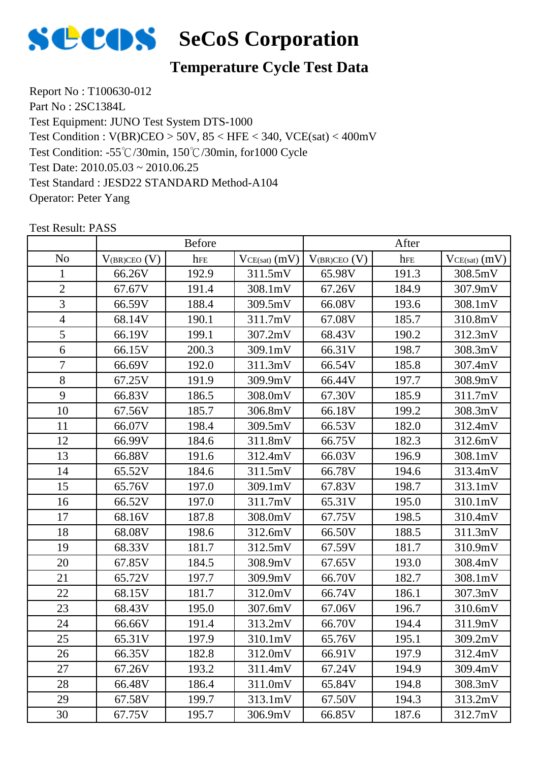

### **Temperature Cycle Test Data**

Report No : T100630-012 Part No : 2SC1384L Test Equipment: JUNO Test System DTS-1000 Test Condition: -55℃/30min, 150℃/30min, for1000 Cycle Test Date: 2010.05.03 ~ 2010.06.25 Test Standard : JESD22 STANDARD Method-A104 Operator: Peter Yang Test Condition : V(BR)CEO > 50V, 85 < HFE < 340, VCE(sat) < 400mV

|                | <b>Before</b>     |       |                 | After             |       |                   |
|----------------|-------------------|-------|-----------------|-------------------|-------|-------------------|
| N <sub>0</sub> | $V_{(BR)CEO} (V)$ | hFE   | $VCE(sat)$ (mV) | $V_{(BR)CEO} (V)$ | hFE   | $VCE(sat)$ $(mV)$ |
| $\mathbf{1}$   | 66.26V            | 192.9 | 311.5mV         | 65.98V            | 191.3 | 308.5mV           |
| $\overline{2}$ | 67.67V            | 191.4 | 308.1mV         | 67.26V            | 184.9 | 307.9mV           |
| 3              | 66.59V            | 188.4 | 309.5mV         | 66.08V            | 193.6 | 308.1mV           |
| $\overline{4}$ | 68.14V            | 190.1 | 311.7mV         | 67.08V            | 185.7 | 310.8mV           |
| 5              | 66.19V            | 199.1 | 307.2mV         | 68.43V            | 190.2 | 312.3mV           |
| 6              | 66.15V            | 200.3 | 309.1mV         | 66.31V            | 198.7 | 308.3mV           |
| $\tau$         | 66.69V            | 192.0 | 311.3mV         | 66.54V            | 185.8 | 307.4mV           |
| 8              | 67.25V            | 191.9 | 309.9mV         | 66.44V            | 197.7 | 308.9mV           |
| 9              | 66.83V            | 186.5 | 308.0mV         | 67.30V            | 185.9 | 311.7mV           |
| 10             | 67.56V            | 185.7 | 306.8mV         | 66.18V            | 199.2 | 308.3mV           |
| 11             | 66.07V            | 198.4 | 309.5mV         | 66.53V            | 182.0 | 312.4mV           |
| 12             | 66.99V            | 184.6 | 311.8mV         | 66.75V            | 182.3 | 312.6mV           |
| 13             | 66.88V            | 191.6 | 312.4mV         | 66.03V            | 196.9 | 308.1mV           |
| 14             | 65.52V            | 184.6 | 311.5mV         | 66.78V            | 194.6 | 313.4mV           |
| 15             | 65.76V            | 197.0 | 309.1mV         | 67.83V            | 198.7 | 313.1mV           |
| 16             | 66.52V            | 197.0 | 311.7mV         | 65.31V            | 195.0 | 310.1mV           |
| 17             | 68.16V            | 187.8 | 308.0mV         | 67.75V            | 198.5 | 310.4mV           |
| 18             | 68.08V            | 198.6 | 312.6mV         | 66.50V            | 188.5 | 311.3mV           |
| 19             | 68.33V            | 181.7 | 312.5mV         | 67.59V            | 181.7 | 310.9mV           |
| 20             | 67.85V            | 184.5 | 308.9mV         | 67.65V            | 193.0 | 308.4mV           |
| 21             | 65.72V            | 197.7 | 309.9mV         | 66.70V            | 182.7 | 308.1mV           |
| 22             | 68.15V            | 181.7 | 312.0mV         | 66.74V            | 186.1 | 307.3mV           |
| 23             | 68.43V            | 195.0 | 307.6mV         | 67.06V            | 196.7 | 310.6mV           |
| 24             | 66.66V            | 191.4 | 313.2mV         | 66.70V            | 194.4 | 311.9mV           |
| 25             | 65.31V            | 197.9 | 310.1mV         | 65.76V            | 195.1 | 309.2mV           |
| 26             | 66.35V            | 182.8 | 312.0mV         | 66.91V            | 197.9 | 312.4mV           |
| 27             | 67.26V            | 193.2 | 311.4mV         | 67.24V            | 194.9 | 309.4mV           |
| 28             | 66.48V            | 186.4 | 311.0mV         | 65.84V            | 194.8 | 308.3mV           |
| 29             | 67.58V            | 199.7 | 313.1mV         | 67.50V            | 194.3 | 313.2mV           |
| 30             | 67.75V            | 195.7 | 306.9mV         | 66.85V            | 187.6 | 312.7mV           |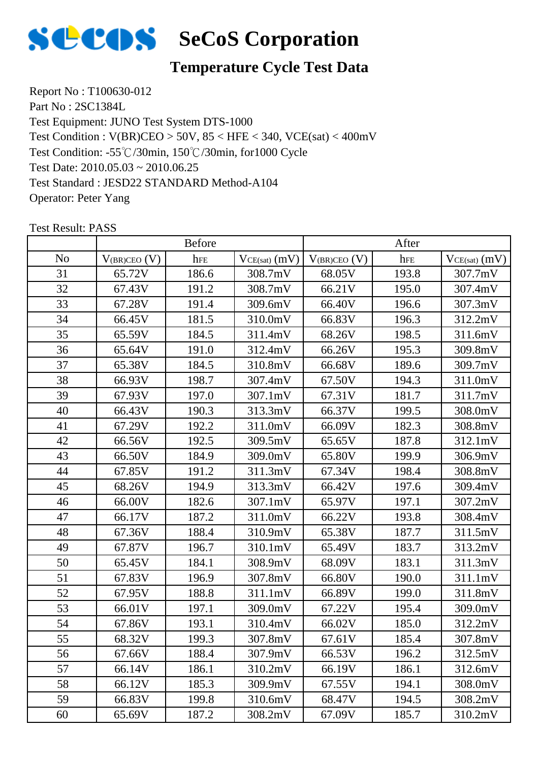

### **Temperature Cycle Test Data**

Report No : T100630-012 Part No : 2SC1384L Test Equipment: JUNO Test System DTS-1000 Test Condition: -55℃/30min, 150℃/30min, for1000 Cycle Test Date: 2010.05.03 ~ 2010.06.25 Test Standard : JESD22 STANDARD Method-A104 Operator: Peter Yang Test Condition : V(BR)CEO > 50V, 85 < HFE < 340, VCE(sat) < 400mV

|                | <b>Before</b>     |       |                 | After             |       |                   |
|----------------|-------------------|-------|-----------------|-------------------|-------|-------------------|
| N <sub>0</sub> | $V_{(BR)CEO} (V)$ | hFE   | $VCE(sat)$ (mV) | $V_{(BR)CEO} (V)$ | hFE   | $VCE(sat)$ $(mV)$ |
| 31             | 65.72V            | 186.6 | 308.7mV         | 68.05V            | 193.8 | 307.7mV           |
| 32             | 67.43V            | 191.2 | 308.7mV         | 66.21V            | 195.0 | 307.4mV           |
| 33             | 67.28V            | 191.4 | 309.6mV         | 66.40V            | 196.6 | 307.3mV           |
| 34             | 66.45V            | 181.5 | 310.0mV         | 66.83V            | 196.3 | 312.2mV           |
| 35             | 65.59V            | 184.5 | 311.4mV         | 68.26V            | 198.5 | 311.6mV           |
| 36             | 65.64V            | 191.0 | 312.4mV         | 66.26V            | 195.3 | 309.8mV           |
| 37             | 65.38V            | 184.5 | 310.8mV         | 66.68V            | 189.6 | 309.7mV           |
| 38             | 66.93V            | 198.7 | 307.4mV         | 67.50V            | 194.3 | 311.0mV           |
| 39             | 67.93V            | 197.0 | 307.1mV         | 67.31V            | 181.7 | 311.7mV           |
| 40             | 66.43V            | 190.3 | 313.3mV         | 66.37V            | 199.5 | 308.0mV           |
| 41             | 67.29V            | 192.2 | 311.0mV         | 66.09V            | 182.3 | 308.8mV           |
| 42             | 66.56V            | 192.5 | 309.5mV         | 65.65V            | 187.8 | 312.1mV           |
| 43             | 66.50V            | 184.9 | 309.0mV         | 65.80V            | 199.9 | 306.9mV           |
| 44             | 67.85V            | 191.2 | 311.3mV         | 67.34V            | 198.4 | 308.8mV           |
| 45             | 68.26V            | 194.9 | 313.3mV         | 66.42V            | 197.6 | 309.4mV           |
| 46             | 66.00V            | 182.6 | 307.1mV         | 65.97V            | 197.1 | 307.2mV           |
| 47             | 66.17V            | 187.2 | 311.0mV         | 66.22V            | 193.8 | 308.4mV           |
| 48             | 67.36V            | 188.4 | 310.9mV         | 65.38V            | 187.7 | 311.5mV           |
| 49             | 67.87V            | 196.7 | 310.1mV         | 65.49V            | 183.7 | 313.2mV           |
| 50             | 65.45V            | 184.1 | 308.9mV         | 68.09V            | 183.1 | 311.3mV           |
| 51             | 67.83V            | 196.9 | 307.8mV         | 66.80V            | 190.0 | 311.1mV           |
| 52             | 67.95V            | 188.8 | 311.1mV         | 66.89V            | 199.0 | 311.8mV           |
| 53             | 66.01V            | 197.1 | 309.0mV         | 67.22V            | 195.4 | 309.0mV           |
| 54             | 67.86V            | 193.1 | 310.4mV         | 66.02V            | 185.0 | 312.2mV           |
| 55             | 68.32V            | 199.3 | 307.8mV         | 67.61V            | 185.4 | 307.8mV           |
| 56             | 67.66V            | 188.4 | 307.9mV         | 66.53V            | 196.2 | 312.5mV           |
| 57             | 66.14V            | 186.1 | 310.2mV         | 66.19V            | 186.1 | 312.6mV           |
| 58             | 66.12V            | 185.3 | 309.9mV         | 67.55V            | 194.1 | 308.0mV           |
| 59             | 66.83V            | 199.8 | 310.6mV         | 68.47V            | 194.5 | 308.2mV           |
| 60             | 65.69V            | 187.2 | 308.2mV         | 67.09V            | 185.7 | 310.2mV           |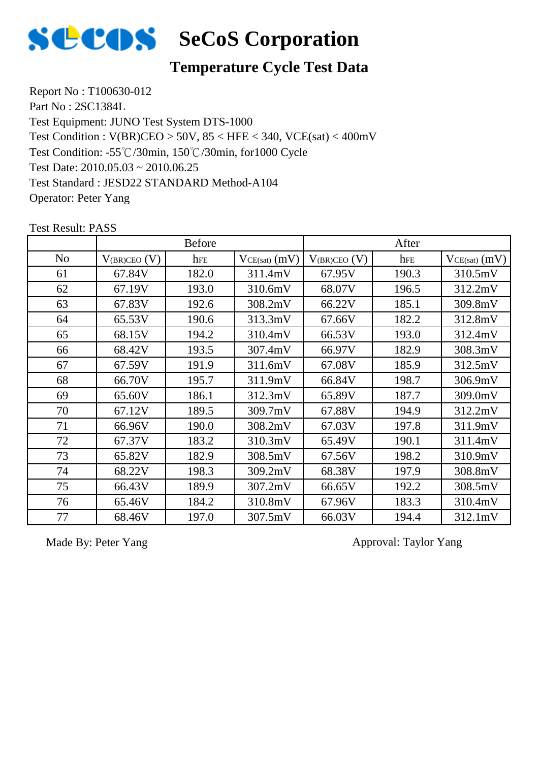

### **Temperature Cycle Test Data**

Report No : T100630-012 Part No : 2SC1384L Test Equipment: JUNO Test System DTS-1000 Test Condition: -55℃/30min, 150℃/30min, for1000 Cycle Test Date: 2010.05.03 ~ 2010.06.25 Test Standard : JESD22 STANDARD Method-A104 Operator: Peter Yang Test Condition : V(BR)CEO > 50V, 85 < HFE < 340, VCE(sat) < 400mV

|                |                   | <b>Before</b> |                   |                   | After |                 |
|----------------|-------------------|---------------|-------------------|-------------------|-------|-----------------|
| N <sub>o</sub> | $V_{(BR)CEO}$ (V) | hFE           | $VCE(sat)$ $(mV)$ | $V_{(BR)CEO} (V)$ | hFE   | $VCE(sat)$ (mV) |
| 61             | 67.84V            | 182.0         | 311.4mV           | 67.95V            | 190.3 | 310.5mV         |
| 62             | 67.19V            | 193.0         | 310.6mV           | 68.07V            | 196.5 | 312.2mV         |
| 63             | 67.83V            | 192.6         | 308.2mV           | 66.22V            | 185.1 | 309.8mV         |
| 64             | 65.53V            | 190.6         | 313.3mV           | 67.66V            | 182.2 | 312.8mV         |
| 65             | 68.15V            | 194.2         | 310.4mV           | 66.53V            | 193.0 | 312.4mV         |
| 66             | 68.42V            | 193.5         | 307.4mV           | 66.97V            | 182.9 | 308.3mV         |
| 67             | 67.59V            | 191.9         | 311.6mV           | 67.08V            | 185.9 | 312.5mV         |
| 68             | 66.70V            | 195.7         | 311.9mV           | 66.84V            | 198.7 | 306.9mV         |
| 69             | 65.60V            | 186.1         | 312.3mV           | 65.89V            | 187.7 | 309.0mV         |
| 70             | 67.12V            | 189.5         | 309.7mV           | 67.88V            | 194.9 | 312.2mV         |
| 71             | 66.96V            | 190.0         | 308.2mV           | 67.03V            | 197.8 | 311.9mV         |
| 72             | 67.37V            | 183.2         | 310.3mV           | 65.49V            | 190.1 | 311.4mV         |
| 73             | 65.82V            | 182.9         | 308.5mV           | 67.56V            | 198.2 | 310.9mV         |
| 74             | 68.22V            | 198.3         | 309.2mV           | 68.38V            | 197.9 | 308.8mV         |
| 75             | 66.43V            | 189.9         | 307.2mV           | 66.65V            | 192.2 | 308.5mV         |
| 76             | 65.46V            | 184.2         | 310.8mV           | 67.96V            | 183.3 | 310.4mV         |
| 77             | 68.46V            | 197.0         | 307.5mV           | 66.03V            | 194.4 | 312.1mV         |

Test Result: PASS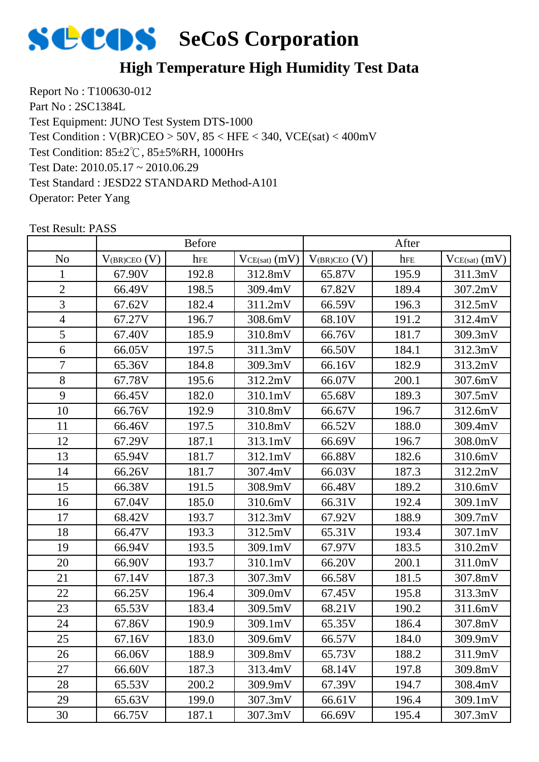

### **High Temperature High Humidity Test Data**

Report No : T100630-012 Part No : 2SC1384L Test Equipment: JUNO Test System DTS-1000 Test Condition: 85±2℃, 85±5%RH, 1000Hrs Test Date: 2010.05.17 ~ 2010.06.29 Test Standard : JESD22 STANDARD Method-A101 Operator: Peter Yang Test Condition : V(BR)CEO > 50V, 85 < HFE < 340, VCE(sat) < 400mV

|                | <b>Before</b>     |       |                 | After             |       |                   |
|----------------|-------------------|-------|-----------------|-------------------|-------|-------------------|
| N <sub>0</sub> | $V_{(BR)CEO}$ (V) | hFE   | $VCE(sat)$ (mV) | $V_{(BR)CEO} (V)$ | hFE   | $VCE(sat)$ $(mV)$ |
| 1              | 67.90V            | 192.8 | 312.8mV         | 65.87V            | 195.9 | 311.3mV           |
| $\overline{2}$ | 66.49V            | 198.5 | 309.4mV         | 67.82V            | 189.4 | 307.2mV           |
| 3              | 67.62V            | 182.4 | 311.2mV         | 66.59V            | 196.3 | 312.5mV           |
| $\overline{4}$ | 67.27V            | 196.7 | 308.6mV         | 68.10V            | 191.2 | 312.4mV           |
| 5              | 67.40V            | 185.9 | 310.8mV         | 66.76V            | 181.7 | 309.3mV           |
| 6              | 66.05V            | 197.5 | 311.3mV         | 66.50V            | 184.1 | 312.3mV           |
| $\overline{7}$ | 65.36V            | 184.8 | 309.3mV         | 66.16V            | 182.9 | 313.2mV           |
| 8              | 67.78V            | 195.6 | 312.2mV         | 66.07V            | 200.1 | 307.6mV           |
| 9              | 66.45V            | 182.0 | 310.1mV         | 65.68V            | 189.3 | 307.5mV           |
| 10             | 66.76V            | 192.9 | 310.8mV         | 66.67V            | 196.7 | 312.6mV           |
| 11             | 66.46V            | 197.5 | 310.8mV         | 66.52V            | 188.0 | 309.4mV           |
| 12             | 67.29V            | 187.1 | 313.1mV         | 66.69V            | 196.7 | 308.0mV           |
| 13             | 65.94V            | 181.7 | 312.1mV         | 66.88V            | 182.6 | 310.6mV           |
| 14             | 66.26V            | 181.7 | 307.4mV         | 66.03V            | 187.3 | 312.2mV           |
| 15             | 66.38V            | 191.5 | 308.9mV         | 66.48V            | 189.2 | 310.6mV           |
| 16             | 67.04V            | 185.0 | 310.6mV         | 66.31V            | 192.4 | 309.1mV           |
| 17             | 68.42V            | 193.7 | 312.3mV         | 67.92V            | 188.9 | 309.7mV           |
| 18             | 66.47V            | 193.3 | 312.5mV         | 65.31V            | 193.4 | 307.1mV           |
| 19             | 66.94V            | 193.5 | 309.1mV         | 67.97V            | 183.5 | 310.2mV           |
| 20             | 66.90V            | 193.7 | 310.1mV         | 66.20V            | 200.1 | 311.0mV           |
| 21             | 67.14V            | 187.3 | 307.3mV         | 66.58V            | 181.5 | 307.8mV           |
| 22             | 66.25V            | 196.4 | 309.0mV         | 67.45V            | 195.8 | 313.3mV           |
| 23             | 65.53V            | 183.4 | 309.5mV         | 68.21V            | 190.2 | 311.6mV           |
| 24             | 67.86V            | 190.9 | 309.1mV         | 65.35V            | 186.4 | 307.8mV           |
| 25             | 67.16V            | 183.0 | 309.6mV         | 66.57V            | 184.0 | 309.9mV           |
| 26             | 66.06V            | 188.9 | 309.8mV         | 65.73V            | 188.2 | 311.9mV           |
| 27             | 66.60V            | 187.3 | 313.4mV         | 68.14V            | 197.8 | 309.8mV           |
| 28             | 65.53V            | 200.2 | 309.9mV         | 67.39V            | 194.7 | 308.4mV           |
| 29             | 65.63V            | 199.0 | 307.3mV         | 66.61V            | 196.4 | 309.1mV           |
| 30             | 66.75V            | 187.1 | 307.3mV         | 66.69V            | 195.4 | 307.3mV           |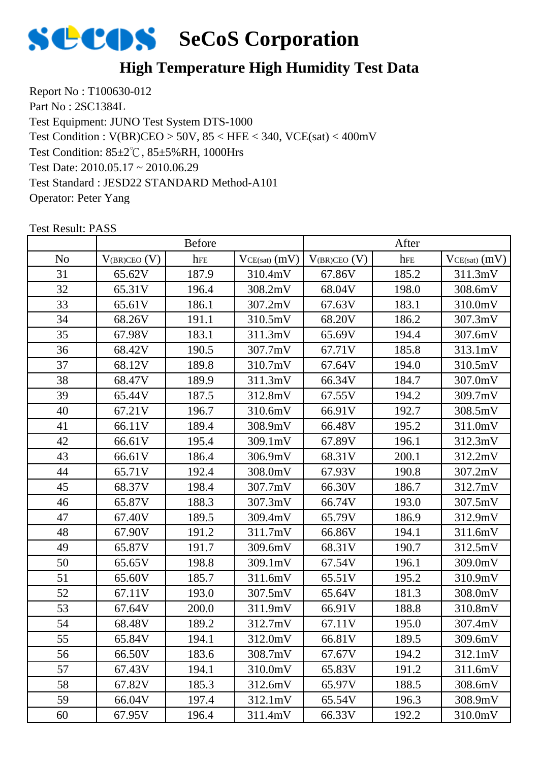

### **High Temperature High Humidity Test Data**

Report No : T100630-012 Part No : 2SC1384L Test Equipment: JUNO Test System DTS-1000 Test Condition: 85±2℃, 85±5%RH, 1000Hrs Test Date: 2010.05.17 ~ 2010.06.29 Test Standard : JESD22 STANDARD Method-A101 Operator: Peter Yang Test Condition : V(BR)CEO > 50V, 85 < HFE < 340, VCE(sat) < 400mV

|                | <b>Before</b>     |       |                   | After             |       |                   |
|----------------|-------------------|-------|-------------------|-------------------|-------|-------------------|
| N <sub>o</sub> | $V_{(BR)CEO} (V)$ | hFE   | $VCE(sat)$ $(mV)$ | $V_{(BR)CEO} (V)$ | hFE   | $VCE(sat)$ $(mV)$ |
| 31             | 65.62V            | 187.9 | 310.4mV           | 67.86V            | 185.2 | 311.3mV           |
| 32             | 65.31V            | 196.4 | 308.2mV           | 68.04V            | 198.0 | 308.6mV           |
| 33             | 65.61V            | 186.1 | 307.2mV           | 67.63V            | 183.1 | 310.0mV           |
| 34             | 68.26V            | 191.1 | 310.5mV           | 68.20V            | 186.2 | 307.3mV           |
| 35             | 67.98V            | 183.1 | 311.3mV           | 65.69V            | 194.4 | 307.6mV           |
| 36             | 68.42V            | 190.5 | 307.7mV           | 67.71V            | 185.8 | 313.1mV           |
| 37             | 68.12V            | 189.8 | 310.7mV           | 67.64V            | 194.0 | 310.5mV           |
| 38             | 68.47V            | 189.9 | 311.3mV           | 66.34V            | 184.7 | 307.0mV           |
| 39             | 65.44V            | 187.5 | 312.8mV           | 67.55V            | 194.2 | 309.7mV           |
| 40             | 67.21V            | 196.7 | 310.6mV           | 66.91V            | 192.7 | 308.5mV           |
| 41             | 66.11V            | 189.4 | 308.9mV           | 66.48V            | 195.2 | 311.0mV           |
| 42             | 66.61V            | 195.4 | 309.1mV           | 67.89V            | 196.1 | 312.3mV           |
| 43             | 66.61V            | 186.4 | 306.9mV           | 68.31V            | 200.1 | 312.2mV           |
| 44             | 65.71V            | 192.4 | 308.0mV           | 67.93V            | 190.8 | 307.2mV           |
| 45             | 68.37V            | 198.4 | 307.7mV           | 66.30V            | 186.7 | 312.7mV           |
| 46             | 65.87V            | 188.3 | 307.3mV           | 66.74V            | 193.0 | 307.5mV           |
| 47             | 67.40V            | 189.5 | 309.4mV           | 65.79V            | 186.9 | 312.9mV           |
| 48             | 67.90V            | 191.2 | 311.7mV           | 66.86V            | 194.1 | 311.6mV           |
| 49             | 65.87V            | 191.7 | 309.6mV           | 68.31V            | 190.7 | 312.5mV           |
| 50             | 65.65V            | 198.8 | 309.1mV           | 67.54V            | 196.1 | 309.0mV           |
| 51             | 65.60V            | 185.7 | 311.6mV           | 65.51V            | 195.2 | 310.9mV           |
| 52             | 67.11V            | 193.0 | 307.5mV           | 65.64V            | 181.3 | 308.0mV           |
| 53             | 67.64V            | 200.0 | 311.9mV           | 66.91V            | 188.8 | 310.8mV           |
| 54             | 68.48V            | 189.2 | 312.7mV           | 67.11V            | 195.0 | 307.4mV           |
| 55             | 65.84V            | 194.1 | 312.0mV           | 66.81V            | 189.5 | 309.6mV           |
| 56             | 66.50V            | 183.6 | 308.7mV           | 67.67V            | 194.2 | 312.1mV           |
| 57             | 67.43V            | 194.1 | 310.0mV           | 65.83V            | 191.2 | 311.6mV           |
| 58             | 67.82V            | 185.3 | 312.6mV           | 65.97V            | 188.5 | 308.6mV           |
| 59             | 66.04V            | 197.4 | 312.1mV           | 65.54V            | 196.3 | 308.9mV           |
| 60             | 67.95V            | 196.4 | 311.4mV           | 66.33V            | 192.2 | 310.0mV           |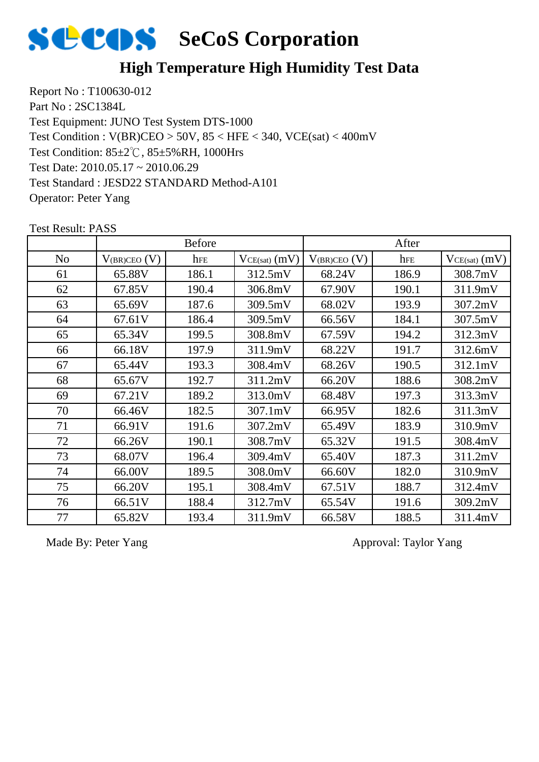

### **High Temperature High Humidity Test Data**

Report No : T100630-012 Part No : 2SC1384L Test Equipment: JUNO Test System DTS-1000 Test Condition: 85±2℃, 85±5%RH, 1000Hrs Test Date: 2010.05.17 ~ 2010.06.29 Test Standard : JESD22 STANDARD Method-A101 Operator: Peter Yang Test Condition : V(BR)CEO > 50V, 85 < HFE < 340, VCE(sat) < 400mV

# Test Result: PASS No  $|V_{(BR)CEO\ (V)}|$  hfe  $|V_{CE(sat)}(mV)| V_{(BR)CEO\ (V)}|$  hfe  $|V_{CE(sat)}(mV)|$ Before After

| <b>INO</b> | $V(BR)$ CEO ( $V$ ) | <b>TIFE</b> | $VCE(sat)$ (III V) | $V(BR)$ CEO ( $V$ ) | TIFE. | $VCE(sat)$ (III V) |
|------------|---------------------|-------------|--------------------|---------------------|-------|--------------------|
| 61         | 65.88V              | 186.1       | 312.5mV            | 68.24V              | 186.9 | 308.7mV            |
| 62         | 67.85V              | 190.4       | 306.8mV            | 67.90V              | 190.1 | 311.9mV            |
| 63         | 65.69V              | 187.6       | 309.5mV            | 68.02V              | 193.9 | 307.2mV            |
| 64         | 67.61V              | 186.4       | 309.5mV            | 66.56V              | 184.1 | 307.5mV            |
| 65         | 65.34V              | 199.5       | 308.8mV            | 67.59V              | 194.2 | 312.3mV            |
| 66         | 66.18V              | 197.9       | 311.9mV            | 68.22V              | 191.7 | 312.6mV            |
| 67         | 65.44V              | 193.3       | 308.4mV            | 68.26V              | 190.5 | 312.1mV            |
| 68         | 65.67V              | 192.7       | 311.2mV            | 66.20V              | 188.6 | 308.2mV            |
| 69         | 67.21V              | 189.2       | 313.0mV            | 68.48V              | 197.3 | 313.3mV            |
| 70         | 66.46V              | 182.5       | 307.1mV            | 66.95V              | 182.6 | 311.3mV            |
| 71         | 66.91V              | 191.6       | 307.2mV            | 65.49V              | 183.9 | 310.9mV            |
| 72         | 66.26V              | 190.1       | 308.7mV            | 65.32V              | 191.5 | 308.4mV            |
| 73         | 68.07V              | 196.4       | 309.4mV            | 65.40V              | 187.3 | 311.2mV            |
| 74         | 66.00V              | 189.5       | 308.0mV            | 66.60V              | 182.0 | 310.9mV            |
| 75         | 66.20V              | 195.1       | 308.4mV            | 67.51V              | 188.7 | 312.4mV            |
| 76         | 66.51V              | 188.4       | 312.7mV            | 65.54V              | 191.6 | 309.2mV            |
| 77         | 65.82V              | 193.4       | 311.9mV            | 66.58V              | 188.5 | 311.4mV            |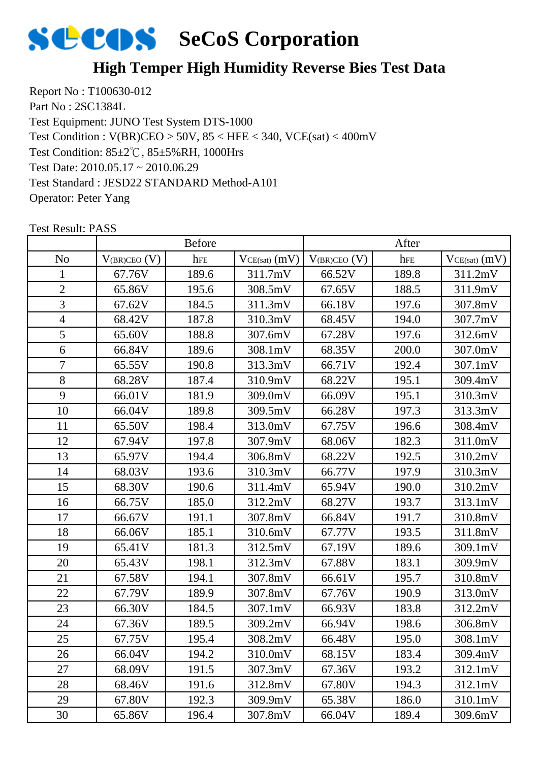

### **High Temper High Humidity Reverse Bies Test Data**

Report No : T100630-012 Part No : 2SC1384L Test Equipment: JUNO Test System DTS-1000 Test Condition: 85±2℃, 85±5%RH, 1000Hrs Test Date: 2010.05.17 ~ 2010.06.29 Test Standard : JESD22 STANDARD Method-A101 Operator: Peter Yang Test Condition : V(BR)CEO > 50V, 85 < HFE < 340, VCE(sat) < 400mV

|                | <b>Before</b>     |       |                 | After             |       |                   |
|----------------|-------------------|-------|-----------------|-------------------|-------|-------------------|
| N <sub>o</sub> | $V_{(BR)CEO} (V)$ | hFE   | $VCE(sat)$ (mV) | $V_{(BR)CEO} (V)$ | hFE   | $VCE(sat)$ $(mV)$ |
| 1              | 67.76V            | 189.6 | 311.7mV         | 66.52V            | 189.8 | 311.2mV           |
| $\overline{2}$ | 65.86V            | 195.6 | 308.5mV         | 67.65V            | 188.5 | 311.9mV           |
| $\overline{3}$ | 67.62V            | 184.5 | 311.3mV         | 66.18V            | 197.6 | 307.8mV           |
| $\overline{4}$ | 68.42V            | 187.8 | 310.3mV         | 68.45V            | 194.0 | 307.7mV           |
| 5              | 65.60V            | 188.8 | 307.6mV         | 67.28V            | 197.6 | 312.6mV           |
| 6              | 66.84V            | 189.6 | 308.1mV         | 68.35V            | 200.0 | 307.0mV           |
| $\overline{7}$ | 65.55V            | 190.8 | 313.3mV         | 66.71V            | 192.4 | 307.1mV           |
| 8              | 68.28V            | 187.4 | 310.9mV         | 68.22V            | 195.1 | 309.4mV           |
| 9              | 66.01V            | 181.9 | 309.0mV         | 66.09V            | 195.1 | 310.3mV           |
| 10             | 66.04V            | 189.8 | 309.5mV         | 66.28V            | 197.3 | 313.3mV           |
| 11             | 65.50V            | 198.4 | 313.0mV         | 67.75V            | 196.6 | 308.4mV           |
| 12             | 67.94V            | 197.8 | 307.9mV         | 68.06V            | 182.3 | 311.0mV           |
| 13             | 65.97V            | 194.4 | 306.8mV         | 68.22V            | 192.5 | 310.2mV           |
| 14             | 68.03V            | 193.6 | 310.3mV         | 66.77V            | 197.9 | 310.3mV           |
| 15             | 68.30V            | 190.6 | 311.4mV         | 65.94V            | 190.0 | 310.2mV           |
| 16             | 66.75V            | 185.0 | 312.2mV         | 68.27V            | 193.7 | 313.1mV           |
| 17             | 66.67V            | 191.1 | 307.8mV         | 66.84V            | 191.7 | 310.8mV           |
| 18             | 66.06V            | 185.1 | 310.6mV         | 67.77V            | 193.5 | 311.8mV           |
| 19             | 65.41V            | 181.3 | 312.5mV         | 67.19V            | 189.6 | 309.1mV           |
| 20             | 65.43V            | 198.1 | 312.3mV         | 67.88V            | 183.1 | 309.9mV           |
| 21             | 67.58V            | 194.1 | 307.8mV         | 66.61V            | 195.7 | 310.8mV           |
| 22             | 67.79V            | 189.9 | 307.8mV         | 67.76V            | 190.9 | 313.0mV           |
| 23             | 66.30V            | 184.5 | 307.1mV         | 66.93V            | 183.8 | 312.2mV           |
| 24             | 67.36V            | 189.5 | 309.2mV         | 66.94V            | 198.6 | 306.8mV           |
| 25             | 67.75V            | 195.4 | 308.2mV         | 66.48V            | 195.0 | 308.1mV           |
| 26             | 66.04V            | 194.2 | 310.0mV         | 68.15V            | 183.4 | 309.4mV           |
| 27             | 68.09V            | 191.5 | 307.3mV         | 67.36V            | 193.2 | 312.1mV           |
| 28             | 68.46V            | 191.6 | 312.8mV         | 67.80V            | 194.3 | 312.1mV           |
| 29             | 67.80V            | 192.3 | 309.9mV         | 65.38V            | 186.0 | 310.1mV           |
| 30             | 65.86V            | 196.4 | 307.8mV         | 66.04V            | 189.4 | 309.6mV           |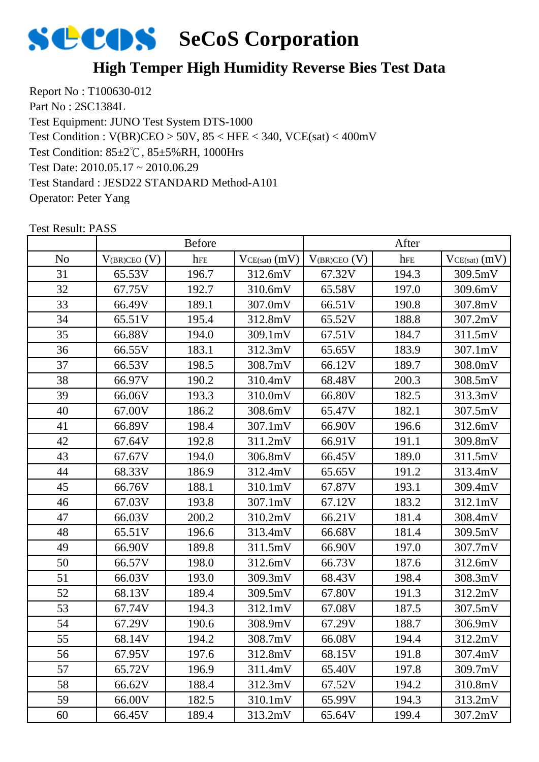

### **High Temper High Humidity Reverse Bies Test Data**

Report No : T100630-012 Part No : 2SC1384L Test Equipment: JUNO Test System DTS-1000 Test Condition: 85±2℃, 85±5%RH, 1000Hrs Test Date: 2010.05.17 ~ 2010.06.29 Test Standard : JESD22 STANDARD Method-A101 Operator: Peter Yang Test Condition : V(BR)CEO > 50V, 85 < HFE < 340, VCE(sat) < 400mV

|                | <b>Before</b>     |       |                   | After             |       |                   |
|----------------|-------------------|-------|-------------------|-------------------|-------|-------------------|
| N <sub>o</sub> | $V_{(BR)CEO} (V)$ | hFE   | $VCE(sat)$ $(mV)$ | $V_{(BR)CEO} (V)$ | hFE   | $VCE(sat)$ $(mV)$ |
| 31             | 65.53V            | 196.7 | 312.6mV           | 67.32V            | 194.3 | 309.5mV           |
| 32             | 67.75V            | 192.7 | 310.6mV           | 65.58V            | 197.0 | 309.6mV           |
| 33             | 66.49V            | 189.1 | 307.0mV           | 66.51V            | 190.8 | 307.8mV           |
| 34             | 65.51V            | 195.4 | 312.8mV           | 65.52V            | 188.8 | 307.2mV           |
| 35             | 66.88V            | 194.0 | 309.1mV           | 67.51V            | 184.7 | 311.5mV           |
| 36             | 66.55V            | 183.1 | 312.3mV           | 65.65V            | 183.9 | 307.1mV           |
| 37             | 66.53V            | 198.5 | 308.7mV           | 66.12V            | 189.7 | 308.0mV           |
| 38             | 66.97V            | 190.2 | 310.4mV           | 68.48V            | 200.3 | 308.5mV           |
| 39             | 66.06V            | 193.3 | 310.0mV           | 66.80V            | 182.5 | 313.3mV           |
| 40             | 67.00V            | 186.2 | 308.6mV           | 65.47V            | 182.1 | 307.5mV           |
| 41             | 66.89V            | 198.4 | 307.1mV           | 66.90V            | 196.6 | 312.6mV           |
| 42             | 67.64V            | 192.8 | 311.2mV           | 66.91V            | 191.1 | 309.8mV           |
| 43             | 67.67V            | 194.0 | 306.8mV           | 66.45V            | 189.0 | 311.5mV           |
| 44             | 68.33V            | 186.9 | 312.4mV           | 65.65V            | 191.2 | 313.4mV           |
| 45             | 66.76V            | 188.1 | 310.1mV           | 67.87V            | 193.1 | 309.4mV           |
| 46             | 67.03V            | 193.8 | 307.1mV           | 67.12V            | 183.2 | 312.1mV           |
| 47             | 66.03V            | 200.2 | 310.2mV           | 66.21V            | 181.4 | 308.4mV           |
| 48             | 65.51V            | 196.6 | 313.4mV           | 66.68V            | 181.4 | 309.5mV           |
| 49             | 66.90V            | 189.8 | 311.5mV           | 66.90V            | 197.0 | 307.7mV           |
| 50             | 66.57V            | 198.0 | 312.6mV           | 66.73V            | 187.6 | 312.6mV           |
| 51             | 66.03V            | 193.0 | 309.3mV           | 68.43V            | 198.4 | 308.3mV           |
| 52             | 68.13V            | 189.4 | 309.5mV           | 67.80V            | 191.3 | 312.2mV           |
| 53             | 67.74V            | 194.3 | 312.1mV           | 67.08V            | 187.5 | 307.5mV           |
| 54             | 67.29V            | 190.6 | 308.9mV           | 67.29V            | 188.7 | 306.9mV           |
| 55             | 68.14V            | 194.2 | 308.7mV           | 66.08V            | 194.4 | 312.2mV           |
| 56             | 67.95V            | 197.6 | 312.8mV           | 68.15V            | 191.8 | 307.4mV           |
| 57             | 65.72V            | 196.9 | 311.4mV           | 65.40V            | 197.8 | 309.7mV           |
| 58             | 66.62V            | 188.4 | 312.3mV           | 67.52V            | 194.2 | 310.8mV           |
| 59             | 66.00V            | 182.5 | 310.1mV           | 65.99V            | 194.3 | 313.2mV           |
| 60             | 66.45V            | 189.4 | 313.2mV           | 65.64V            | 199.4 | 307.2mV           |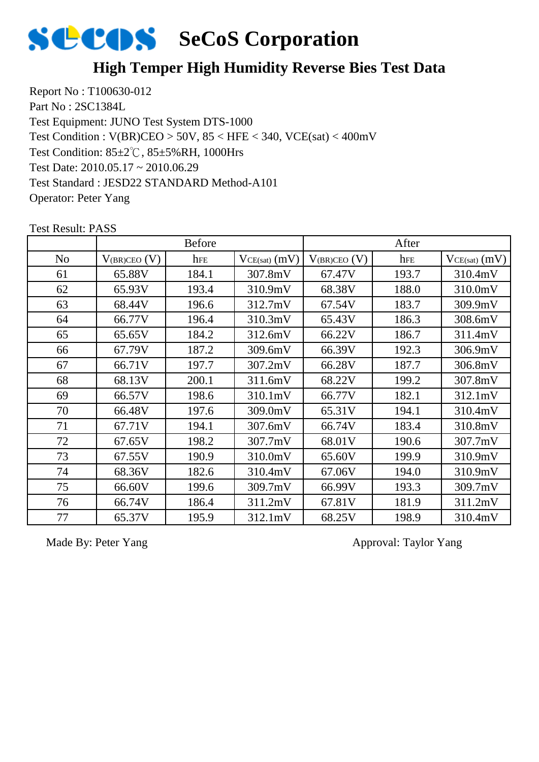

### **High Temper High Humidity Reverse Bies Test Data**

Report No : T100630-012 Part No : 2SC1384L Test Equipment: JUNO Test System DTS-1000 Test Condition: 85±2℃, 85±5%RH, 1000Hrs Test Date: 2010.05.17 ~ 2010.06.29 Test Standard : JESD22 STANDARD Method-A101 Operator: Peter Yang Test Condition : V(BR)CEO > 50V, 85 < HFE < 340, VCE(sat) < 400mV

|                |                   | <b>Before</b> |                   |                     | After |                   |
|----------------|-------------------|---------------|-------------------|---------------------|-------|-------------------|
| N <sub>o</sub> | $V_{(BR)CEO}$ (V) | hFE           | $VCE(sat)$ $(mV)$ | $V_{(BR)CEO}$ $(V)$ | hFE   | $VCE(sat)$ $(mV)$ |
| 61             | 65.88V            | 184.1         | 307.8mV           | 67.47V              | 193.7 | 310.4mV           |
| 62             | 65.93V            | 193.4         | 310.9mV           | 68.38V              | 188.0 | 310.0mV           |
| 63             | 68.44V            | 196.6         | 312.7mV           | 67.54V              | 183.7 | 309.9mV           |
| 64             | 66.77V            | 196.4         | 310.3mV           | 65.43V              | 186.3 | 308.6mV           |
| 65             | 65.65V            | 184.2         | 312.6mV           | 66.22V              | 186.7 | 311.4mV           |
| 66             | 67.79V            | 187.2         | 309.6mV           | 66.39V              | 192.3 | 306.9mV           |
| 67             | 66.71V            | 197.7         | 307.2mV           | 66.28V              | 187.7 | 306.8mV           |
| 68             | 68.13V            | 200.1         | 311.6mV           | 68.22V              | 199.2 | 307.8mV           |
| 69             | 66.57V            | 198.6         | 310.1mV           | 66.77V              | 182.1 | 312.1mV           |
| 70             | 66.48V            | 197.6         | 309.0mV           | 65.31V              | 194.1 | 310.4mV           |
| 71             | 67.71V            | 194.1         | 307.6mV           | 66.74V              | 183.4 | 310.8mV           |
| 72             | 67.65V            | 198.2         | 307.7mV           | 68.01V              | 190.6 | 307.7mV           |
| 73             | 67.55V            | 190.9         | 310.0mV           | 65.60V              | 199.9 | 310.9mV           |
| 74             | 68.36V            | 182.6         | 310.4mV           | 67.06V              | 194.0 | 310.9mV           |
| 75             | 66.60V            | 199.6         | 309.7mV           | 66.99V              | 193.3 | 309.7mV           |
| 76             | 66.74V            | 186.4         | 311.2mV           | 67.81V              | 181.9 | 311.2mV           |
| 77             | 65.37V            | 195.9         | 312.1mV           | 68.25V              | 198.9 | 310.4mV           |

Test Result: PASS